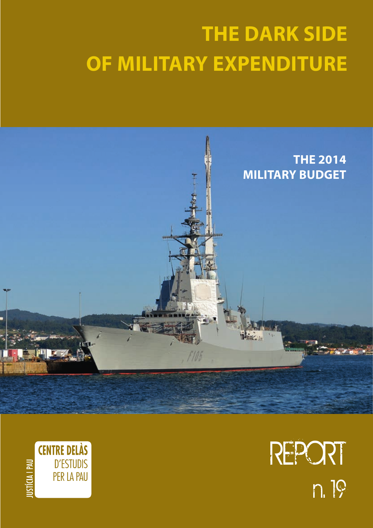# **The Dark Side OF MILITARY EXPENDITURE**





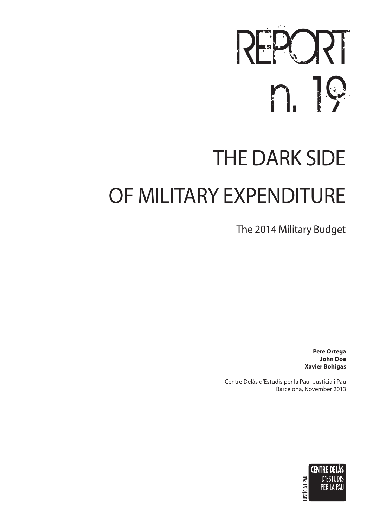# REPORT n. 19

# **THE DARK SIDE** OF MILITARY EXPENDITURE

The 2014 Military Budget

**Pere Ortega John Doe Xavier Bohigas**

Centre Delàs d'Estudis per la Pau · Justícia i Pau Barcelona, November 2013

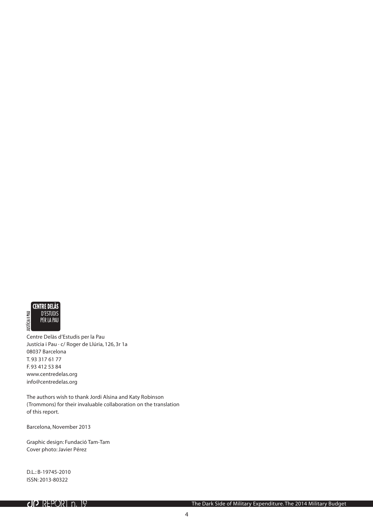

Centre Delàs d'Estudis per la Pau Justícia i Pau · c/ Roger de Llúria, 126, 3r 1a 08037 Barcelona T. 93 317 61 77 F. 93 412 53 84 www.centredelas.org info@centredelas.org

The authors wish to thank Jordi Alsina and Katy Robinson (Trommons) for their invaluable collaboration on the translation of this report.

Barcelona, November 2013

Graphic design: Fundació Tam-Tam Cover photo: Javier Pérez

D.L.: B-19745-2010 ISSN: 2013-80322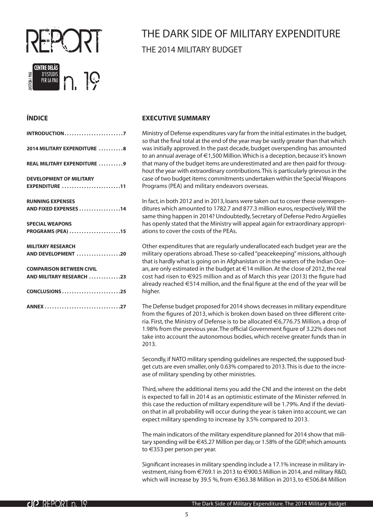

## The Dark Side of Military Expenditure The 2014 Military Budget

#### **ÍNDICE**

| <b>INTRODUCTION7</b>                                        |
|-------------------------------------------------------------|
| 2014 MILITARY EXPENDITURE 8                                 |
| REAL MILITARY EXPENDITURE 9                                 |
| <b>DEVELOPMENT OF MILITARY</b><br>EXPENDITURE 11            |
| <b>RUNNING EXPENSES</b><br>AND FIXED EXPENSES 14            |
| <b>SPECIAL WEAPONS</b><br>PROGRAMS (PEA) 15                 |
| <b>MILITARY RESEARCH</b><br>AND DEVELOPMENT 20              |
| <b>COMPARISON BETWEEN CIVIL</b><br>AND MILITARY RESEARCH 23 |
| CONCLUSIONS25                                               |
| ANNEX 27                                                    |

#### **EXECUTIVE SUMMARY**

Ministry of Defense expenditures vary far from the initial estimates in the budget, so that the final total at the end of the year may be vastly greater than that which was initially approved. In the past decade, budget overspending has amounted to an annual average of €1,500 Million. Which is a deception, because it's known that many of the budget items are underestimated and are then paid for throughout the year with extraordinary contributions. This is particularly grievous in the case of two budget items: commitments undertaken within the Special Weapons Programs (PEA) and military endeavors overseas.

In fact, in both 2012 and in 2013, loans were taken out to cover these overexpenditures which amounted to 1782.7 and 877.3 million euros, respectively. Will the same thing happen in 2014? Undoubtedly, Secretary of Defense Pedro Argüelles has openly stated that the Ministry will appeal again for extraordinary appropriations to cover the costs of the PEAs.

Other expenditures that are regularly underallocated each budget year are the military operations abroad. These so-called "peacekeeping" missions, although that is hardly what is going on in Afghanistan or in the waters of the Indian Ocean, are only estimated in the budget at €14 million. At the close of 2012, the real cost had risen to €925 million and as of March this year (2013) the figure had already reached €514 million, and the final figure at the end of the year will be higher.

The Defense budget proposed for 2014 shows decreases in military expenditure from the figures of 2013, which is broken down based on three different criteria. First, the Ministry of Defense is to be allocated €6,776.75 Million, a drop of 1.98% from the previous year. The official Government figure of 3.22% does not take into account the autonomous bodies, which receive greater funds than in 2013.

Secondly, if NATO military spending guidelines are respected, the supposed budget cuts are even smaller, only 0.63% compared to 2013. This is due to the increase of military spending by other ministries.

Third, where the additional items you add the CNI and the interest on the debt is expected to fall in 2014 as an optimistic estimate of the Minister referred. In this case the reduction of military expenditure will be 1.79%. And if the deviation that in all probability will occur during the year is taken into account, we can expect military spending to increase by 3.5% compared to 2013.

The main indicators of the military expenditure planned for 2014 show that military spending will be €45.27 Million per day, or 1.58% of the GDP, which amounts to €353 per person per year.

Significant increases in military spending include a 17.1% increase in military investment, rising from €769.1 in 2013 to €900.5 Million in 2014, and military R&D, which will increase by 39.5 %, from €363.38 Million in 2013, to €506.84 Million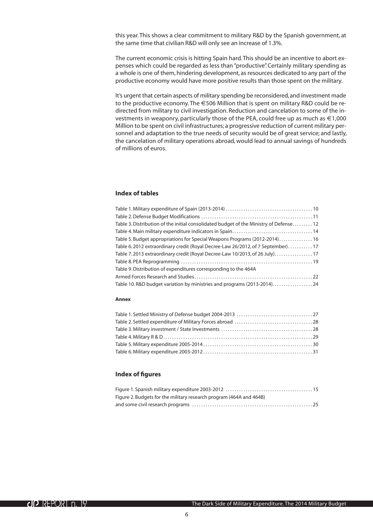this year. This shows a clear commitment to military R&D by the Spanish government, at the same time that civilian R&D will only see an increase of 1.3%.

The current economic crisis is hitting Spain hard. This should be an incentive to abort expenses which could be regarded as less than "productive". Certainly military spending as a whole is one of them, hindering development, as resources dedicated to any part of the productive economy would have more positive results than those spent on the military.

It's urgent that certain aspects of military spending be reconsidered, and investment made to the productive economy. The €506 Million that is spent on military R&D could be redirected from military to civil investigation. Reduction and cancelation to some of the investments in weaponry, particularly those of the PEA, could free up as much as  $\epsilon$ 1,000 Million to be spent on civil infrastructures; a progressive reduction of current military personnel and adaptation to the true needs of security would be of great service; and lastly, the cancelation of military operations abroad, would lead to annual savings of hundreds of millions of euros.

#### **Index of tables**

#### **Annex**

#### **Index of figures**

| Figure 2. Budgets for the military research program (464A and 464B) |  |
|---------------------------------------------------------------------|--|
|                                                                     |  |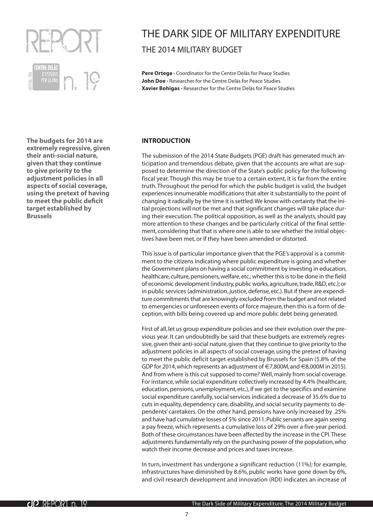<span id="page-6-0"></span>

## The Dark Side of Military Expenditure The 2014 Military Budget

Pere Ortega · Coordinator for the Centre Delàs for Peace Studies John Doe · Researcher for the Centre Delàs for Peace Studies **Xavier Bohigas ·** Researcher for the Centre Delàs for Peace Studies

**The budgets for 2014 are extremely regressive, given their anti-social nature, given that they continue to give priority to the adjustment policies in all aspects of social coverage, using the pretext of having to meet the public deficit target established by Brussels**

#### **Introduction**

The submission of the 2014 State Budgets (PGE) draft has generated much anticipation and tremendous debate, given that the accounts are what are supposed to determine the direction of the State's public policy for the following fiscal year. Though this may be true to a certain extent, it is far from the entire truth. Throughout the period for which the public budget is valid, the budget experiences innumerable modifications that alter it substantially to the point of changing it radically by the time it is settled. We know with certainty that the initial projections will not be met and that significant changes will take place during their execution. The political opposition, as well as the analysts, should pay more attention to these changes and be particularly critical of the final settlement, considering that that is where one is able to see whether the initial objectives have been met, or if they have been amended or distorted.

This issue is of particular importance given that the PGE's approval is a commitment to the citizens indicating where public expenditure is going and whether the Government plans on having a social commitment by investing in education, healthcare, culture, pensioners, welfare, etc.; whether this is to be done in the field of economic development (industry, public works, agriculture, trade, R&D, etc.); or in public services (administration, justice, defense, etc.). But if there are expenditure commitments that are knowingly excluded from the budget and not related to emergencies or unforeseen events of force majeure, then this is a form of deception, with bills being covered up and more public debt being generated.

First of all, let us group expenditure policies and see their evolution over the previous year. It can undoubtedly be said that these budgets are extremely regressive, given their anti-social nature, given that they continue to give priority to the adjustment policies in all aspects of social coverage, using the pretext of having to meet the public deficit target established by Brussels for Spain (5.8% of the GDP for 2014, which represents an adjustment of €7,800M, and €8,000M in 2015). And from where is this cut supposed to come? Well, mainly from social coverage. For instance, while social expenditure collectively increased by 4.4% (healthcare, education, pensions, unemployment, etc.), if we get to the specifics and examine social expenditure carefully, social services indicated a decrease of 35.6% due to cuts in equality, dependency care, disability, and social security payments to dependents' caretakers. On the other hand, pensions have only increased by .25% and have had cumulative losses of 5% since 2011. Public servants are again seeing a pay freeze, which represents a cumulative loss of 29% over a five-year period. Both of these circumstances have been affected by the increase in the CPI. These adjustments fundamentally rely on the purchasing power of the population, who watch their income decrease and prices and taxes increase.

In turn, investment has undergone a significant reduction (11%); for example, infrastructures have diminished by 8.6%, public works have gone down by 6%, and civil research development and innovation (RDI) indicates an increase of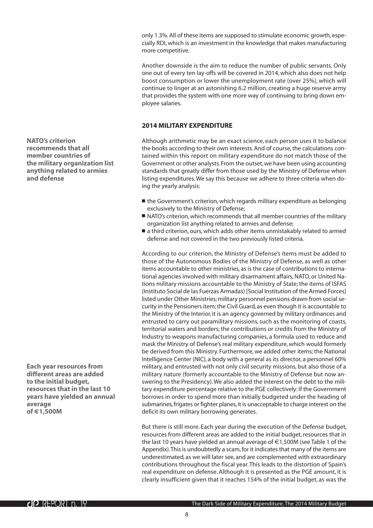only 1.3%. All of these items are supposed to stimulate economic growth, especially RDI, which is an investment in the knowledge that makes manufacturing more competitive.

Another downside is the aim to reduce the number of public servants. Only one out of every ten lay-offs will be covered in 2014, which also does not help boost consumption or lower the unemployment rate (over 25%), which will continue to linger at an astonishing 6.2 million, creating a huge reserve army that provides the system with one more way of continuing to bring down employee salaries.

#### **2014 Military Expenditure**

Although arithmetic may be an exact science, each person uses it to balance the books according to their own interests. And of course, the calculations contained within this report on military expenditure do not match those of the Government or other analysts. From the outset, we have been using accounting standards that greatly differ from those used by the Ministry of Defense when listing expenditures. We say this because we adhere to three criteria when doing the yearly analysis:

- the Government's criterion, which regards military expenditure as belonging exclusively to the Ministry of Defense;
- NATO's criterion, which recommends that all member countries of the military organization list anything related to armies and defense;
- a third criterion, ours, which adds other items unmistakably related to armed defense and not covered in the two previously listed criteria.

According to our criterion, the Ministry of Defense's items must be added to those of the Autonomous Bodies of the Ministry of Defense, as well as other items accountable to other ministries, as is the case of contributions to international agencies involved with military disarmament affairs, NATO, or United Nations military missions accountable to the Ministry of State; the items of ISFAS (Instituto Social de las Fuerzas Armadas) [Social Institution of the Armed Forces] listed under Other Ministries; military personnel pensions drawn from social security in the Pensioners item; the Civil Guard, as even though it is accountable to the Ministry of the Interior, it is an agency governed by military ordinances and entrusted to carry out paramilitary missions, such as the monitoring of coasts, territorial waters and borders; the contributions or credits from the Ministry of Industry to weapons manufacturing companies, a formula used to reduce and mask the Ministry of Defense's real military expenditure, which would formerly be derived from this Ministry. Furthermore, we added other items; the National Intelligence Center (NIC), a body with a general as its director, a personnel 60% military, and entrusted with not only civil security missions, but also those of a military nature (formerly accountable to the Ministry of Defense but now answering to the Presidency). We also added the interest on the debt to the military expenditure percentage relative to the PGE collectively: if the Government borrows in order to spend more than initially budgeted under the heading of submarines, frigates or fighter planes, it is unacceptable to charge interest on the deficit its own military borrowing generates.

But there is still more. Each year during the execution of the Defense budget, resources from different areas are added to the initial budget, resources that in the last 10 years have yielded an annual average of €1,500M (see Table 1 of the Appendix). This is undoubtedly a scam, for it indicates that many of the items are underestimated, as we will later see, and are complemented with extraordinary contributions throughout the fiscal year. This leads to the distortion of Spain's real expenditure on defense. Although it is presented as the PGE amount, it is clearly insufficient given that it reaches 154% of the initial budget, as was the

<span id="page-7-0"></span>**NATO's criterion recommends that all member countries of the military organization list anything related to armies and defense**

**Each year resources from different areas are added to the initial budget, resources that in the last 10 years have yielded an annual average of €1,500M**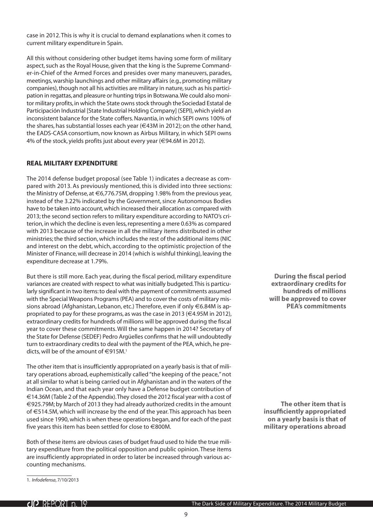<span id="page-8-0"></span>case in 2012. This is why it is crucial to demand explanations when it comes to current military expenditure in Spain.

All this without considering other budget items having some form of military aspect, such as the Royal House, given that the king is the Supreme Commander-in-Chief of the Armed Forces and presides over many maneuvers, parades, meetings, warship launchings and other military affairs (e.g., promoting military companies), though not all his activities are military in nature, such as his participation in regattas, and pleasure or hunting trips in Botswana. We could also monitor military profits, in which the State owns stock through theSociedad Estatal de Participación Industrial [State Industrial Holding Company] (SEPI), which yield an inconsistent balance for the State coffers. Navantia, in which SEPI owns 100% of the shares, has substantial losses each year (€43M in 2012); on the other hand, the EADS-CASA consortium, now known as Airbus Military, in which SEPI owns 4% of the stock, yields profits just about every year (€94.6M in 2012).

#### **Real Military Expenditure**

The 2014 defense budget proposal (see Table 1) indicates a decrease as compared with 2013. As previously mentioned, this is divided into three sections: the Ministry of Defense, at €6,776.75M, dropping 1.98% from the previous year, instead of the 3.22% indicated by the Government, since Autonomous Bodies have to be taken into account, which increased their allocation as compared with 2013; the second section refers to military expenditure according to NATO's criterion, in which the decline is even less, representing a mere 0.63% as compared with 2013 because of the increase in all the military items distributed in other ministries; the third section, which includes the rest of the additional items (NIC and interest on the debt, which, according to the optimistic projection of the Minister of Finance, will decrease in 2014 (which is wishful thinking), leaving the expenditure decrease at 1.79%.

But there is still more. Each year, during the fiscal period, military expenditure variances are created with respect to what was initially budgeted. This is particularly significant in two items: to deal with the payment of commitments assumed with the Special Weapons Programs (PEA) and to cover the costs of military missions abroad (Afghanistan, Lebanon, etc.) Therefore, even if only €6.84M is appropriated to pay for these programs, as was the case in 2013 ( $\in$ 4.95M in 2012), extraordinary credits for hundreds of millions will be approved during the fiscal year to cover these commitments. Will the same happen in 2014? Secretary of the State for Defense (SEDEF) Pedro Argüelles confirms that he will undoubtedly turn to extraordinary credits to deal with the payment of the PEA, which, he predicts, will be of the amount of  $\in$ 915M.<sup>1</sup>

The other item that is insufficiently appropriated on a yearly basis is that of military operations abroad, euphemistically called "the keeping of the peace," not at all similar to what is being carried out in Afghanistan and in the waters of the Indian Ocean, and that each year only have a Defense budget contribution of €14.36M (Table 2 of the Appendix). They closed the 2012 fiscal year with a cost of €925.79M; by March of 2013 they had already authorized credits in the amount of €514.5M, which will increase by the end of the year. This approach has been used since 1990, which is when these operations began, and for each of the past five years this item has been settled for close to €800M.

Both of these items are obvious cases of budget fraud used to hide the true military expenditure from the political opposition and public opinion. These items are insufficiently appropriated in order to later be increased through various accounting mechanisms.

**During the fiscal period extraordinary credits for hundreds of millions will be approved to cover PEA's commitments**

**The other item that is insufficiently appropriated on a yearly basis is that of military operations abroad**

<sup>1.</sup> *Infodefensa*, 7/10/2013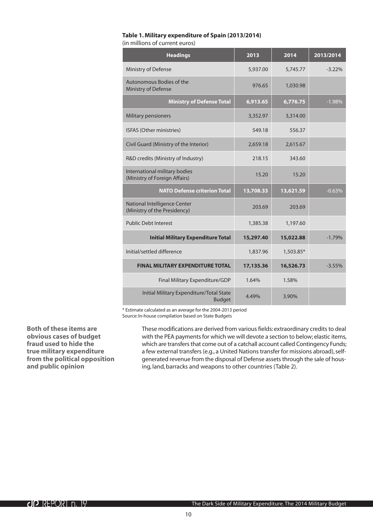#### <span id="page-9-0"></span>**Table 1. Military expenditure of Spain (2013/2014)** (in millions of current euros)

| <b>Headings</b>                                                | 2013      | 2014      | 2013/2014 |
|----------------------------------------------------------------|-----------|-----------|-----------|
| Ministry of Defense                                            | 5,937.00  | 5,745.77  | $-3.22\%$ |
| Autonomous Bodies of the<br>Ministry of Defense                | 976.65    | 1,030.98  |           |
| <b>Ministry of Defense Total</b>                               | 6,913.65  | 6,776.75  | $-1.98%$  |
| Military pensioners                                            | 3,352.97  | 3,314.00  |           |
| ISFAS (Other ministries)                                       | 549.18    | 556.37    |           |
| Civil Guard (Ministry of the Interior)                         | 2,659.18  | 2,615.67  |           |
| R&D credits (Ministry of Industry)                             | 218.15    | 343.60    |           |
| International military bodies<br>(Ministry of Foreign Affairs) | 15.20     | 15.20     |           |
| <b>NATO Defense criterion Total</b>                            | 13,708.33 | 13,621.59 | $-0.63%$  |
| National Intelligence Center<br>(Ministry of the Presidency)   | 203.69    | 203.69    |           |
| <b>Public Debt Interest</b>                                    | 1,385.38  | 1,197.60  |           |
| <b>Initial Military Expenditure Total</b>                      | 15,297.40 | 15,022.88 | $-1.79%$  |
| Initial/settled difference                                     | 1,837.96  | 1,503.85* |           |
| <b>FINAL MILITARY EXPENDITURE TOTAL</b>                        | 17,135.36 | 16,526.73 | $-3.55%$  |
| Final Military Expenditure/GDP                                 | 1.64%     | 1.58%     |           |
| Initial Military Expenditure/Total State<br><b>Budget</b>      | 4.49%     | 3.90%     |           |

\* Estimate calculated as an average for the 2004-2013 period Source: In-house compilation based on State Budgets

**Both of these items are obvious cases of budget fraud used to hide the true military expenditure from the political opposition and public opinion**

These modifications are derived from various fields: extraordinary credits to deal with the PEA payments for which we will devote a section to below; elastic items, which are transfers that come out of a catchall account called Contingency Funds; a few external transfers (e.g., a United Nations transfer for missions abroad), selfgenerated revenue from the disposal of Defense assets through the sale of housing, land, barracks and weapons to other countries (Table 2).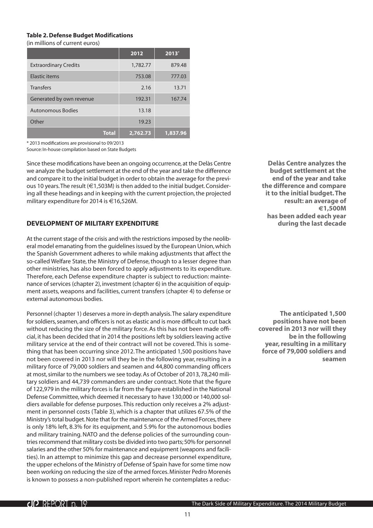#### <span id="page-10-0"></span>**Table 2. Defense Budget Modifications**

(in millions of current euros)

|                              | 2012     | $2013*$  |
|------------------------------|----------|----------|
| <b>Extraordinary Credits</b> | 1,782.77 | 879.48   |
| Elastic items                | 753.08   | 777.03   |
| <b>Transfers</b>             | 2.16     | 13.71    |
| Generated by own revenue     | 192.31   | 167.74   |
| <b>Autonomous Bodies</b>     | 13.18    |          |
| Other                        | 19.23    |          |
| <b>Total</b>                 | 2,762.73 | 1,837.96 |

\* 2013 modifications are provisional to 09/2013

Source: In-house compilation based on State Budgets

Since these modifications have been an ongoing occurrence, at the Delàs Centre we analyze the budget settlement at the end of the year and take the difference and compare it to the initial budget in order to obtain the average for the previous 10 years. The result (€1,503M) is then added to the initial budget. Considering all these headings and in keeping with the current projection, the projected military expenditure for 2014 is €16,526M.

#### **Development of Military Expenditure**

At the current stage of the crisis and with the restrictions imposed by the neoliberal model emanating from the guidelines issued by the European Union, which the Spanish Government adheres to while making adjustments that affect the so-called Welfare State, the Ministry of Defense, though to a lesser degree than other ministries, has also been forced to apply adjustments to its expenditure. Therefore, each Defense expenditure chapter is subject to reduction: maintenance of services (chapter 2), investment (chapter 6) in the acquisition of equipment assets, weapons and facilities, current transfers (chapter 4) to defense or external autonomous bodies.

Personnel (chapter 1) deserves a more in-depth analysis. The salary expenditure for soldiers, seamen, and officers is not as elastic and is more difficult to cut back without reducing the size of the military force. As this has not been made official, it has been decided that in 2014 the positions left by soldiers leaving active military service at the end of their contract will not be covered. This is something that has been occurring since 2012. The anticipated 1,500 positions have not been covered in 2013 nor will they be in the following year, resulting in a military force of 79,000 soldiers and seamen and 44,800 commanding officers at most, similar to the numbers we see today. As of October of 2013, 78,240 military soldiers and 44,739 commanders are under contract. Note that the figure of 122,979 in the military forces is far from the figure established in the National Defense Committee, which deemed it necessary to have 130,000 or 140,000 soldiers available for defense purposes. This reduction only receives a 2% adjustment in personnel costs (Table 3), which is a chapter that utilizes 67.5% of the Ministry's total budget. Note that for the maintenance of the Armed Forces, there is only 18% left, 8.3% for its equipment, and 5.9% for the autonomous bodies and military training. NATO and the defense policies of the surrounding countries recommend that military costs be divided into two parts; 50% for personnel salaries and the other 50% for maintenance and equipment (weapons and facilities). In an attempt to minimize this gap and decrease personnel expenditure, the upper echelons of the Ministry of Defense of Spain have for some time now been working on reducing the size of the armed forces. Minister Pedro Morenés is known to possess a non-published report wherein he contemplates a reduc-

**Delàs Centre analyzes the budget settlement at the end of the year and take the difference and compare it to the initial budget. The result: an average of €1,500M has been added each year during the last decade**

**The anticipated 1,500 positions have not been covered in 2013 nor will they be in the following year, resulting in a military force of 79,000 soldiers and seamen**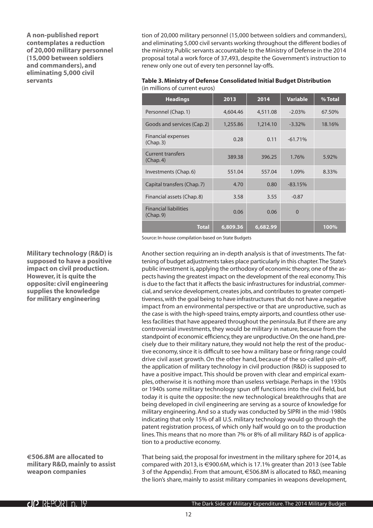<span id="page-11-0"></span>**A non-published report contemplates a reduction of 20,000 military personnel (15,000 between soldiers and commanders), and eliminating 5,000 civil servants**

tion of 20,000 military personnel (15,000 between soldiers and commanders), and eliminating 5,000 civil servants working throughout the different bodies of the ministry. Public servants accountable to the Ministry of Defense in the 2014 proposal total a work force of 37,493, despite the Government's instruction to renew only one out of every ten personnel lay-offs.

| Table 3. Ministry of Defense Consolidated Initial Budget Distribution |
|-----------------------------------------------------------------------|
| (in millions of current euros)                                        |

| <b>Headings</b>                           | 2013     | 2014     | <b>Variable</b> | % Total |
|-------------------------------------------|----------|----------|-----------------|---------|
| Personnel (Chap. 1)                       | 4,604.46 | 4,511.08 | $-2.03%$        | 67.50%  |
| Goods and services (Cap. 2)               | 1,255.86 | 1,214.10 | $-3.32\%$       | 18.16%  |
| Financial expenses<br>(Chap. 3)           | 0.28     | 0.11     | $-61.71%$       |         |
| <b>Current transfers</b><br>(Chap. 4)     | 389.38   | 396.25   | 1.76%           | 5.92%   |
| Investments (Chap. 6)                     | 551.04   | 557.04   | 1.09%           | 8.33%   |
| Capital transfers (Chap. 7)               | 4.70     | 0.80     | $-83.15%$       |         |
| Financial assets (Chap. 8)                | 3.58     | 3.55     | $-0.87$         |         |
| <b>Financial liabilities</b><br>(Chap. 9) | 0.06     | 0.06     | $\Omega$        |         |
| <b>Total</b>                              | 6,809.36 | 6,682.99 |                 | 100%    |

Source: In-house compilation based on State Budgets

Another section requiring an in-depth analysis is that of investments. The fattening of budget adjustments takes place particularly in this chapter. The State's public investment is, applying the orthodoxy of economic theory, one of the aspects having the greatest impact on the development of the real economy. This is due to the fact that it affects the basic infrastructures for industrial, commercial, and service development, creates jobs, and contributes to greater competitiveness, with the goal being to have infrastructures that do not have a negative impact from an environmental perspective or that are unproductive, such as the case is with the high-speed trains, empty airports, and countless other useless facilities that have appeared throughout the peninsula. But if there are any controversial investments, they would be military in nature, because from the standpoint of economic efficiency, they are unproductive. On the one hand, precisely due to their military nature, they would not help the rest of the productive economy, since it is difficult to see how a military base or firing range could drive civil asset growth. On the other hand, because of the so-called *spin-off*, the application of military technology in civil production (R&D) is supposed to have a positive impact. This should be proven with clear and empirical examples, otherwise it is nothing more than useless verbiage. Perhaps in the 1930s or 1940s some military technology spun off functions into the civil field, but today it is quite the opposite: the new technological breakthroughs that are being developed in civil engineering are serving as a source of knowledge for military engineering. And so a study was conducted by SIPRI in the mid-1980s indicating that only 15% of all U.S. military technology would go through the patent registration process, of which only half would go on to the production lines. This means that no more than 7% or 8% of all military R&D is of application to a productive economy.

That being said, the proposal for investment in the military sphere for 2014, as compared with 2013, is €900.6M, which is 17.1% greater than 2013 (see Table 3 of the Appendix). From that amount, €506.8M is allocated to R&D, meaning the lion's share, mainly to assist military companies in weapons development,

**Military technology (R&D) is supposed to have a positive impact on civil production. However, it is quite the opposite: civil engineering supplies the knowledge for military engineering**

**€506.8M are allocated to military R&D, mainly to assist weapon companies**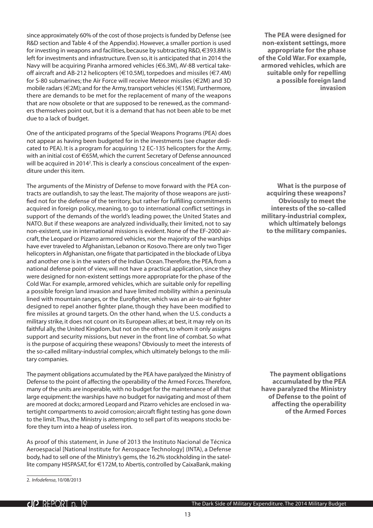since approximately 60% of the cost of those projects is funded by Defense (see R&D section and Table 4 of the Appendix). However, a smaller portion is used for investing in weapons and facilities, because by subtracting R&D, €393.8M is left for investments and infrastructure. Even so, it is anticipated that in 2014 the Navy will be acquiring Piranha armored vehicles (€6.3M), AV-8B vertical takeoff aircraft and AB-212 helicopters (€10.5M), torpedoes and missiles (€7.4M) for S-80 submarines; the Air Force will receive Meteor missiles (€2M) and 3D mobile radars (€2M); and for the Army, transport vehicles (€15M). Furthermore, there are demands to be met for the replacement of many of the weapons that are now obsolete or that are supposed to be renewed, as the commanders themselves point out, but it is a demand that has not been able to be met due to a lack of budget.

One of the anticipated programs of the Special Weapons Programs (PEA) does not appear as having been budgeted for in the investments (see chapter dedicated to PEA). It is a program for acquiring 12 EC-135 helicopters for the Army, with an initial cost of €65M, which the current Secretary of Defense announced will be acquired in 2014<sup>2</sup>. This is clearly a conscious concealment of the expenditure under this item.

The arguments of the Ministry of Defense to move forward with the PEA contracts are outlandish, to say the least. The majority of those weapons are justified not for the defense of the territory, but rather for fulfilling commitments acquired in foreign policy, meaning, to go to international conflict settings in support of the demands of the world's leading power, the United States and NATO. But if these weapons are analyzed individually, their limited, not to say non-existent, use in international missions is evident. None of the EF-2000 aircraft, the Leopard or Pizarro armored vehicles, nor the majority of the warships have ever traveled to Afghanistan, Lebanon or Kosovo. There are only two Tiger helicopters in Afghanistan, one frigate that participated in the blockade of Libya and another one is in the waters of the Indian Ocean. Therefore, the PEA, from a national defense point of view, will not have a practical application, since they were designed for non-existent settings more appropriate for the phase of the Cold War. For example, armored vehicles, which are suitable only for repelling a possible foreign land invasion and have limited mobility within a peninsula lined with mountain ranges, or the Eurofighter, which was an air-to-air fighter designed to repel another fighter plane, though they have been modified to fire missiles at ground targets. On the other hand, when the U.S. conducts a military strike, it does not count on its European allies; at best, it may rely on its faithful ally, the United Kingdom, but not on the others, to whom it only assigns support and security missions, but never in the front line of combat. So what is the purpose of acquiring these weapons? Obviously to meet the interests of the so-called military-industrial complex, which ultimately belongs to the military companies.

The payment obligations accumulated by the PEA have paralyzed the Ministry of Defense to the point of affecting the operability of the Armed Forces. Therefore, many of the units are inoperable, with no budget for the maintenance of all that large equipment: the warships have no budget for navigating and most of them are moored at docks; armored Leopard and Pizarro vehicles are enclosed in watertight compartments to avoid corrosion; aircraft flight testing has gone down to the limit. Thus, the Ministry is attempting to sell part of its weapons stocks before they turn into a heap of useless iron.

As proof of this statement, in June of 2013 the Instituto Nacional de Técnica Aeroespacial [National Institute for Aerospace Technology] (INTA), a Defense body, had to sell one of the Ministry's gems, the 16.2% stockholding in the satellite company HISPASAT, for €172M, to Abertis, controlled by CaixaBank, making

**The PEA were designed for non-existent settings, more appropriate for the phase of the Cold War. For example, armored vehicles, which are suitable only for repelling a possible foreign land invasion** 

**What is the purpose of acquiring these weapons? Obviously to meet the interests of the so-called military-industrial complex, which ultimately belongs to the military companies.**

**The payment obligations accumulated by the PEA have paralyzed the Ministry of Defense to the point of affecting the operability of the Armed Forces**

<sup>2.</sup> *Infodefensa*, 10/08/2013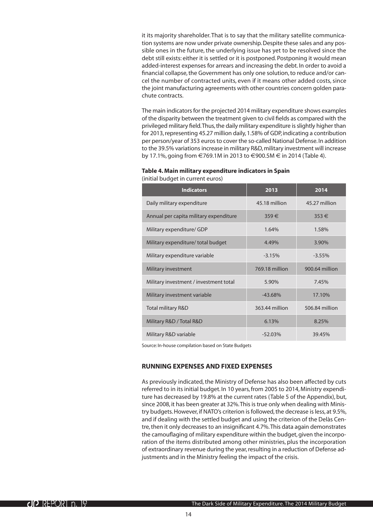<span id="page-13-0"></span>it its majority shareholder. That is to say that the military satellite communication systems are now under private ownership. Despite these sales and any possible ones in the future, the underlying issue has yet to be resolved since the debt still exists: either it is settled or it is postponed. Postponing it would mean added-interest expenses for arrears and increasing the debt. In order to avoid a financial collapse, the Government has only one solution, to reduce and/or cancel the number of contracted units, even if it means other added costs, since the joint manufacturing agreements with other countries concern golden parachute contracts.

The main indicators for the projected 2014 military expenditure shows examples of the disparity between the treatment given to civil fields as compared with the privileged military field. Thus, the daily military expenditure is slightly higher than for 2013, representing 45.27 million daily, 1.58% of GDP, indicating a contribution per person/year of 353 euros to cover the so-called National Defense. In addition to the 39.5% variations increase in military R&D, military investment will increase by 17.1%, going from €769.1M in 2013 to €900.5M € in 2014 (Table 4).

#### **Table 4. Main military expenditure indicators in Spain**  (initial budget in current euros)

| <b>Indicators</b>                      | 2013           | 2014           |
|----------------------------------------|----------------|----------------|
| Daily military expenditure             | 45.18 million  | 45.27 million  |
| Annual per capita military expenditure | 359€           | $353 \in$      |
| Military expenditure/ GDP              | 1.64%          | 1.58%          |
| Military expenditure/ total budget     | 4.49%          | 3.90%          |
| Military expenditure variable          | $-3.15%$       | $-3.55%$       |
| Military investment                    | 769.18 million | 900.64 million |
| Military investment / investment total | 5.90%          | 7.45%          |
| Military investment variable           | $-43.68%$      | 17.10%         |
| Total military R&D                     | 363.44 million | 506.84 million |
| Military R&D / Total R&D               | 6.13%          | 8.25%          |
| Military R&D variable                  | $-52.03%$      | 39.45%         |

Source: In-house compilation based on State Budgets

#### **Running expenses and fixed expenses**

As previously indicated, the Ministry of Defense has also been affected by cuts referred to in its initial budget. In 10 years, from 2005 to 2014, Ministry expenditure has decreased by 19.8% at the current rates (Table 5 of the Appendix), but, since 2008, it has been greater at 32%. This is true only when dealing with Ministry budgets. However, if NATO's criterion is followed, the decrease is less, at 9.5%, and if dealing with the settled budget and using the criterion of the Delàs Centre, then it only decreases to an insignificant 4.7%. This data again demonstrates the camouflaging of military expenditure within the budget, given the incorporation of the items distributed among other ministries, plus the incorporation of extraordinary revenue during the year, resulting in a reduction of Defense adjustments and in the Ministry feeling the impact of the crisis.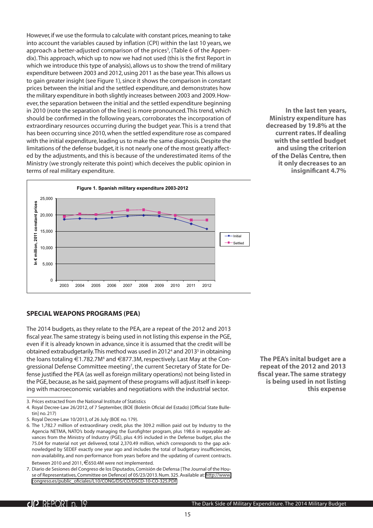<span id="page-14-0"></span>However, if we use the formula to calculate with constant prices, meaning to take into account the variables caused by inflation (CPI) within the last 10 years, we approach a better-adjusted comparison of the prices<sup>3</sup>, (Table 6 of the Appendix). This approach, which up to now we had not used (this is the first Report in which we introduce this type of analysis), allows us to show the trend of military expenditure between 2003 and 2012, using 2011 as the base year. This allows us to gain greater insight (see Figure 1), since it shows the comparison in constant prices between the initial and the settled expenditure, and demonstrates how the military expenditure in both slightly increases between 2003 and 2009. However, the separation between the initial and the settled expenditure beginning in 2010 (note the separation of the lines) is more pronounced. This trend, which should be confirmed in the following years, corroborates the incorporation of extraordinary resources occurring during the budget year. This is a trend that has been occurring since 2010, when the settled expenditure rose as compared with the initial expenditure, leading us to make the same diagnosis. Despite the limitations of the defense budget, it is not nearly one of the most greatly affected by the adjustments, and this is because of the underestimated items of the Ministry (we strongly reiterate this point) which deceives the public opinion in terms of real military expenditure.

**In the last ten years, Ministry expenditure has decreased by 19.8% at the current rates. If dealing with the settled budget and using the criterion of the Delàs Centre, then it only decreases to an insignificant 4.7%**



**Special Weapons Programs (PEA)**

The 2014 budgets, as they relate to the PEA, are a repeat of the 2012 and 2013 fiscal year. The same strategy is being used in not listing this expense in the PGE, even if it is already known in advance, since it is assumed that the credit will be obtained extrabudgetarily. This method was used in 2012<sup>4</sup> and 2013<sup>5</sup> in obtaining the loans totaling €1.782.7M<sup>6</sup> and €877.3M, respectively. Last May at the Congressional Defense Committee meeting<sup>7</sup>, the current Secretary of State for Defense justified the PEA (as well as foreign military operations) not being listed in the PGE, because, as he said, payment of these programs will adjust itself in keeping with macroeconomic variables and negotiations with the industrial sector.

**The PEA's inital budget are a repeat of the 2012 and 2013 fiscal year. The same strategy is being used in not listing this expense**

<sup>3.</sup> Prices extracted from the National Institute of Statistics

<sup>4.</sup> Royal Decree-Law 26/2012, of 7 September, (BOE (Boletín Oficial del Estado) [Official State Bulletin] no. 217)

<sup>5.</sup> Royal Decree-Law 10/2013, of 26 July (BOE no. 179).

<sup>6.</sup> The 1,782.7 million of extraordinary credit, plus the 309.2 million paid out by Industry to the Agencia NETMA, NATO's body managing the Eurofighter program, plus 198.6 in repayable advances from the Ministry of Industry (PGE), plus 4.95 included in the Defense budget, plus the 75.04 for material not yet delivered, total 2,370.49 million, which corresponds to the gap acknowledged by SEDEF exactly one year ago and includes the total of budgetary insufficiencies, non-availability, and non-performance from years before and the updating of current contracts. Between 2010 and 2011, €650.4M were not implemented.

<sup>7.</sup> Diario de Sesiones del Congreso de los Diputados, Comisión de Defensa [The Journal of the House of Representatives, Committee on Defence] of 05/23/2013. Num. 325. Available at: [http://www.](http://www.congreso.es/public_oficiales/L10/CONG/DS/CO/DSCD-10-CO-325.PDF) [congreso.es/public\\_oficiales/L10/CONG/DS/CO/DSCD-10-CO-325.PDF](http://www.congreso.es/public_oficiales/L10/CONG/DS/CO/DSCD-10-CO-325.PDF)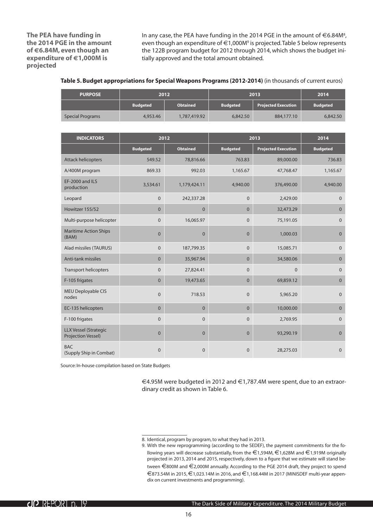<span id="page-15-0"></span>**The PEA have funding in the 2014 PGE in the amount of €6.84M, even though an expenditure of €1,000M is projected**

In any case, the PEA have funding in the 2014 PGE in the amount of  $\in$  6.84M<sup>8</sup>, even though an expenditure of €1,000M<sup>9</sup> is projected. Table 5 below represents the 122B program budget for 2012 through 2014, which shows the budget initially approved and the total amount obtained.

**Table 5. Budget appropriations for Special Weapons Programs (2012-2014)** (in thousands of current euros)

| <b>PURPOSE</b>   |                 | 2012            |                 | 2013                       | 2014            |
|------------------|-----------------|-----------------|-----------------|----------------------------|-----------------|
|                  | <b>Budgeted</b> | <b>Obtained</b> | <b>Budgeted</b> | <b>Projected Execution</b> | <b>Budgeted</b> |
| Special Programs | 4,953.46        | 1,787,419.92    | 6,842.50        | 884,177,10                 | 6,842.50        |

| <b>INDICATORS</b>                                         | 2012            |                 | 2013            |                            | 2014            |
|-----------------------------------------------------------|-----------------|-----------------|-----------------|----------------------------|-----------------|
|                                                           | <b>Budgeted</b> | <b>Obtained</b> | <b>Budgeted</b> | <b>Projected Execution</b> | <b>Budgeted</b> |
| <b>Attack helicopters</b>                                 | 549.52          | 78,816.66       | 763.83          | 89,000.00                  | 736.83          |
| A/400M program                                            | 869.33          | 992.03          | 1,165.67        | 47,768.47                  | 1,165.67        |
| EF-2000 and ILS<br>production                             | 3,534.61        | 1,179,424.11    | 4,940.00        | 376,490.00                 | 4,940.00        |
| Leopard                                                   | $\overline{0}$  | 242,337.28      | $\mathbf{0}$    | 2,429.00                   | $\mathbf{0}$    |
| Howitzer 155/52                                           | $\Omega$        | $\Omega$        | $\Omega$        | 32,473.29                  | $\Omega$        |
| Multi-purpose helicopter                                  | $\overline{0}$  | 16,065.97       | $\mathbf{0}$    | 75,191.05                  | $\overline{0}$  |
| <b>Maritime Action Ships</b><br>(BAM)                     | $\overline{0}$  | $\mathbf{0}$    | $\mathbf{0}$    | 1,000.03                   | $\overline{0}$  |
| Alad missiles (TAURUS)                                    | $\overline{0}$  | 187,799.35      | $\mathbf{0}$    | 15,085.71                  | $\overline{0}$  |
| Anti-tank missiles                                        | $\overline{0}$  | 35,967.94       | $\mathbf{0}$    | 34,580.06                  | $\overline{0}$  |
| <b>Transport helicopters</b>                              | $\Omega$        | 27,824.41       | $\mathbf{0}$    | $\Omega$                   | $\Omega$        |
| F-105 frigates                                            | $\overline{0}$  | 19,473.65       | $\overline{0}$  | 69,859.12                  | $\overline{0}$  |
| <b>MEU Deployable CIS</b><br>nodes                        | $\overline{0}$  | 718.53          | $\mathbf{0}$    | 5,965.20                   | $\overline{0}$  |
| EC-135 helicopters                                        | $\Omega$        | $\Omega$        | $\Omega$        | 10,000.00                  | $\Omega$        |
| F-100 frigates                                            | $\overline{0}$  | $\overline{0}$  | $\mathbf{0}$    | 2,769.95                   | $\Omega$        |
| <b>LLX Vessel (Strategic</b><br><b>Projection Vessel)</b> | $\overline{0}$  | $\overline{0}$  | $\overline{0}$  | 93,290.19                  | $\overline{0}$  |
| <b>BAC</b><br>(Supply Ship in Combat)                     | $\Omega$        | $\Omega$        | $\mathbf{0}$    | 28,275.03                  | $\Omega$        |

Source: In-house compilation based on State Budgets

€4.95M were budgeted in 2012 and €1,787.4M were spent, due to an extraordinary credit as shown in Table 6.

<sup>8.</sup> Identical, program by program, to what they had in 2013.

<sup>9.</sup> With the new reprogramming (according to the SEDEF), the payment commitments for the following years will decrease substantially, from the €1,594M, €1,628M and €1,919M originally projected in 2013, 2014 and 2015, respectively, down to a figure that we estimate will stand between €800M and €2,000M annually. According to the PGE 2014 draft, they project to spend  $€873.54M$  in 2015,  $€1,023.14M$  in 2016, and  $€1,168.44M$  in 2017 (MINISDEF multi-year appendix on current investments and programming).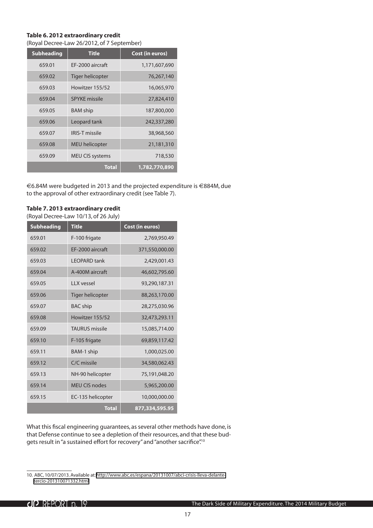#### <span id="page-16-0"></span>**Table 6. 2012 extraordinary credit**  (Royal Decree-Law 26/2012, of 7 September)

| <b>Subheading</b> | <b>Title</b>           | Cost (in euros) |
|-------------------|------------------------|-----------------|
| 659.01            | EF-2000 aircraft       | 1,171,607,690   |
| 659.02            | Tiger helicopter       | 76,267,140      |
| 659.03            | Howitzer 155/52        | 16,065,970      |
| 659.04            | <b>SPYKE</b> missile   | 27,824,410      |
| 659.05            | <b>BAM</b> ship        | 187,800,000     |
| 659.06            | Leopard tank           | 242,337,280     |
| 659.07            | <b>IRIS-T missile</b>  | 38,968,560      |
| 659.08            | <b>MEU</b> helicopter  | 21,181,310      |
| 659.09            | <b>MEU CIS systems</b> | 718,530         |
|                   | <b>Total</b>           | 1,782,770,890   |

€6.84M were budgeted in 2013 and the projected expenditure is €884M, due to the approval of other extraordinary credit (see Table 7).

#### **Table 7. 2013 extraordinary credit**

(Royal Decree-Law 10/13, of 26 July)

| <b>Subheading</b> | <b>Title</b>            | Cost (in euros) |
|-------------------|-------------------------|-----------------|
| 659.01            | F-100 frigate           | 2,769,950.49    |
| 659.02            | EF-2000 aircraft        | 371,550,000.00  |
| 659.03            | <b>LEOPARD</b> tank     | 2,429,001.43    |
| 659.04            | A-400M aircraft         | 46,602,795.60   |
| 659.05            | <b>LLX</b> vessel       | 93,290,187.31   |
| 659.06            | <b>Tiger helicopter</b> | 88,263,170.00   |
| 659.07            | <b>BAC</b> ship         | 28,275,030.96   |
| 659.08            | Howitzer 155/52         | 32,473,293.11   |
| 659.09            | <b>TAURUS</b> missile   | 15,085,714.00   |
| 659.10            | F-105 frigate           | 69,859,117.42   |
| 659.11            | BAM-1 ship              | 1,000,025.00    |
| 659.12            | C/C missile             | 34,580,062.43   |
| 659.13            | NH-90 helicopter        | 75,191,048.20   |
| 659.14            | <b>MEU CIS nodes</b>    | 5,965,200.00    |
| 659.15            | EC-135 helicopter       | 10,000,000.00   |
|                   | <b>Total</b>            | 877,334,595.95  |

What this fiscal engineering guarantees, as several other methods have done, is that Defense continue to see a depletion of their resources, and that these budgets result in "a sustained effort for recovery" and "another sacrifice".<sup>10</sup>

<sup>10.</sup> ABC, 10/07/2013. Available at: [http://www.abc.es/espana/20131007/abci-crisis-lleva-delante](http://www.abc.es/espana/20131007/abci-crisis-lleva-delante-tercio-201310071332.html)[tercio-201310071332.html](http://www.abc.es/espana/20131007/abci-crisis-lleva-delante-tercio-201310071332.html)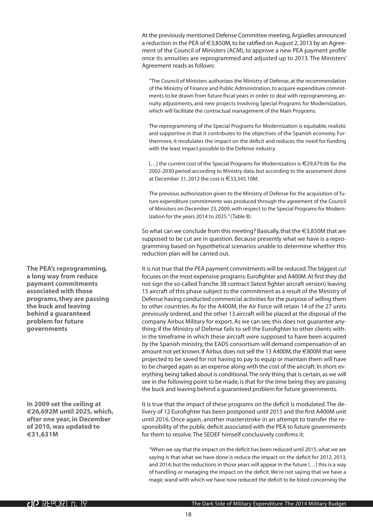At the previously mentioned Defense Committee meeting, Argüelles announced a reduction in the PEA of €3,850M, to be ratified on August 2, 2013 by an Agreement of the Council of Ministers (ACM), to approve a new PEA payment profile once its annuities are reprogrammed and adjusted up to 2013. The Ministers' Agreement reads as follows:

"The Council of Ministers authorizes the Ministry of Defense, at the recommendation of the Ministry of Finance and Public Administration, to acquire expenditure commitments to be drawn from future fiscal years in order to deal with reprogramming, annuity adjustments, and new projects involving Special Programs for Modernization, which will facilitate the contractual management of the Main Programs.

The reprogramming of the Special Programs for Modernization is equitable, realistic and supportive in that it contributes to the objectives of the Spanish economy. Furthermore, it modulates the impact on the deficit and reduces the need for funding with the least impact possible to the Defense industry.

[…] the current cost of the Special Programs for Modernization is €29,479.06 for the 2002-2030 period according to Ministry data, but according to the assessment done at December 31, 2012 the cost is €33,345.10M.

The previous authorization given to the Ministry of Defense for the acquisition of future expenditure commitments was produced through the agreement of the Council of Ministers on December 23, 2009, with respect to the Special Programs for Modernization for the years 2014 to 2025." (Table 8).

So what can we conclude from this meeting? Basically, that the €3,850M that are supposed to be cut are in question. Because presently what we have is a reprogramming based on hypothetical scenarios unable to determine whether this reduction plan will be carried out.

It is not true that the PEA payment commitments will be reduced. The biggest *cut* focuses on the most expensive programs: Eurofighter and A400M. At first they did not sign the so-called Tranche 3B contract (latest fighter aircraft version) leaving 15 aircraft of this phase subject to the commitment as a result of the Ministry of Defense having conducted commercial activities for the purpose of selling them to other countries. As for the A400M, the Air Force will retain 14 of the 27 units previously ordered, and the other 13 aircraft will be placed at the disposal of the company Airbus Military for export. As we can see, this does not guarantee anything: if the Ministry of Defense fails to sell the Eurofighter to other clients within the timeframe in which these aircraft were supposed to have been acquired by the Spanish ministry, the EADS consortium will demand compensation of an amount not yet known. If Airbus does not sell the 13 A400M, the €800M that were projected to be saved for not having to pay to equip or maintain them will have to be charged again as an expense along with the cost of the aircraft. In short: everything being talked about is conditional. The only thing that is certain, as we will see in the following point to be made, is that for the time being they are passing the buck and leaving behind a guaranteed problem for future governments.

It is true that the impact of these programs on the deficit is modulated. The delivery of 12 Eurofighter has been postponed until 2015 and the first A400M unit until 2016. Once again, another masterstroke in an attempt to transfer the responsibility of the public deficit associated with the PEA to future governments for them to resolve. The SEDEF himself conclusively confirms it:

"When we say that the impact on the deficit has been reduced until 2015, what we are saying is that what we have done is reduce the impact on the deficit for 2012, 2013, and 2014; but the reductions in those years will appear in the future […] this is a way of handling or managing the impact on the deficit. We're not saying that we have a magic wand with which we have now reduced the deficit to be listed concerning the

**The PEA's reprogramming, a long way from reduce payment commitments associated with those programs, they are passing the buck and leaving behind a guaranteed problem for future governments**

**In 2009 set the ceiling at €26,692M until 2025, which, after one year, in December of 2010, was updated to €31,631M**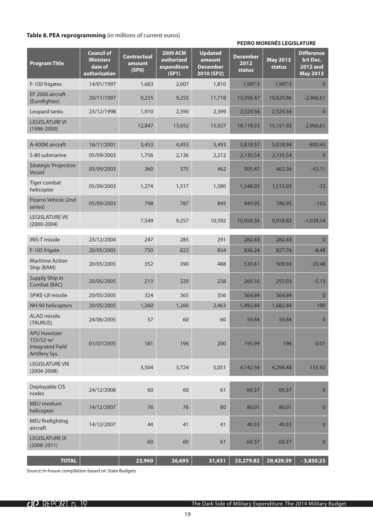#### <span id="page-18-0"></span>**Table 8.PEA reprogramming** (in millions of current euros)

#### **PEDRO MORENÉS LEGISLATURE**

| <b>Program Title</b>                                                          | <b>Council of</b><br><b>Ministers</b><br>date of<br>authorization | <b>Contractual</b><br>amount<br>(SPO) | <b>2009 ACM</b><br>authorized<br>expenditure<br>(SP1) | <b>Updated</b><br>amount<br><b>December</b><br>2010 (SP2) | <b>December</b><br>2012<br><b>status</b> | <b>May 2013</b><br>status | <b>Difference</b><br>b/t Dec.<br><b>2012 and</b><br><b>May 2013</b> |
|-------------------------------------------------------------------------------|-------------------------------------------------------------------|---------------------------------------|-------------------------------------------------------|-----------------------------------------------------------|------------------------------------------|---------------------------|---------------------------------------------------------------------|
| F-100 frigates                                                                | 14/01/1997                                                        | 1,683                                 | 2,007                                                 | 1,810                                                     | 1,997.5                                  | 1,997.5                   | $\overline{0}$                                                      |
| EF 2000 aircraft<br>(Eurofighter)                                             | 20/11/1997                                                        | 9,255                                 | 9,255                                                 | 11,718                                                    | 13,596.47                                | 10,629.86                 | $-2,966.61$                                                         |
| Leopard tanks                                                                 | 23/12/1998                                                        | 1,910                                 | 2,390                                                 | 2,399                                                     | 2,524.56                                 | 2,524.56                  | $\overline{0}$                                                      |
| <b>LEGISLATURE VI</b><br>$(1996 - 2000)$                                      |                                                                   | 12,847                                | 13,652                                                | 15,927                                                    | 18,118.53                                | 15,151.92                 | $-2,966.61$                                                         |
| A-400M aircraft                                                               | 16/11/2001                                                        | 3,453                                 | 4,453                                                 | 5,493                                                     | 5,819.37                                 | 5,018.94                  | $-800.43$                                                           |
| S-80 submarine                                                                | 05/09/2003                                                        | 1,756                                 | 2,136                                                 | 2,212                                                     | 2,135.54                                 | 2,135.54                  | $\mathbf{0}$                                                        |
| <b>Strategic Projection</b><br>Vessel                                         | 05/09/2003                                                        | 360                                   | 375                                                   | 462                                                       | 505.47                                   | 462.36                    | $-43.11$                                                            |
| Tiger combat<br>helicopter                                                    | 05/09/2003                                                        | 1,274                                 | 1,517                                                 | 1,580                                                     | 1,548.03                                 | 1,515.03                  | $-33$                                                               |
| Pizarro Vehicle (2nd<br>series)                                               | 05/09/2003                                                        | 708                                   | 787                                                   | 845                                                       | 949.95                                   | 786.95                    | $-163$                                                              |
| <b>LEGISLATURE VII</b><br>$(2000 - 2004)$                                     |                                                                   | 7,549                                 | 9,257                                                 | 10,592                                                    | 10,958.36                                | 9,918.82                  | $-1,039.54$                                                         |
| <b>IRIS-T missile</b>                                                         | 23/12/2004                                                        | 247                                   | 285                                                   | 291                                                       | 282.43                                   | 282.43                    | $\overline{0}$                                                      |
| F-105 frigate                                                                 | 20/05/2005                                                        | 750                                   | 823                                                   | 834                                                       | 836.24                                   | 827.76                    | $-8.48$                                                             |
| <b>Maritime Action</b><br>Ship (BAM)                                          | 20/05/2005                                                        | 352                                   | 390                                                   | 488                                                       | 530.41                                   | 509.93                    | $-20.48$                                                            |
| Supply Ship in<br>Combat (BAC)                                                | 20/05/2005                                                        | 213                                   | 229                                                   | 238                                                       | 260.16                                   | 255.03                    | $-5.13$                                                             |
| SPIKE-LR missile                                                              | 20/05/2005                                                        | 324                                   | 365                                                   | 356                                                       | 364.69                                   | 364.69                    | $\Omega$                                                            |
| NH-90 helicopters                                                             | 20/05/2005                                                        | 1,260                                 | 1,260                                                 | 2,463                                                     | 1,492.44                                 | 1,682.44                  | 190                                                                 |
| <b>ALAD</b> missile<br>(TAURUS)                                               | 24/06/2005                                                        | 57                                    | 60                                                    | 60                                                        | 59.64                                    | 59.64                     | $\mathbf{0}$                                                        |
| <b>APU Howitzer</b><br>155/52 w/<br><b>Integrated Field</b><br>Artillery Sys. | 01/07/2005                                                        | 181                                   | 196                                                   | 200                                                       | 195.99                                   | 196                       | 0.01                                                                |
| <b>LEGISLATURE VIII</b><br>$(2004 - 2008)$                                    |                                                                   | 3,504                                 | 3,724                                                 | 5,051                                                     | 4,142.56                                 | 4,298.48                  | 155.92                                                              |
| Deployable CIS<br>nodes                                                       | 24/12/2008                                                        | 60                                    | 60                                                    | 61                                                        | 60.37                                    | 60.37                     | $\mathbf{0}$                                                        |
| <b>MEU</b> medium<br>helicopter                                               | 14/12/2007                                                        | 76                                    | 76                                                    | 80                                                        | 80.01                                    | 80.01                     | $\pmb{0}$                                                           |
| MEU firefighting<br>aircraft                                                  | 14/12/2007                                                        | 44                                    | 41                                                    | 41                                                        | 40.55                                    | 40.55                     | $\pmb{0}$                                                           |
| <b>LEGISLATURE IX</b><br>$(2008 - 2011)$                                      |                                                                   | 60                                    | 60                                                    | 61                                                        | 60.37                                    | 60.37                     | $\pmb{0}$                                                           |
| <b>TOTAL</b>                                                                  |                                                                   | 23,960                                | 26,693                                                | 31,631                                                    | 33,279.82                                | 29,429.59                 | $-3,850.23$                                                         |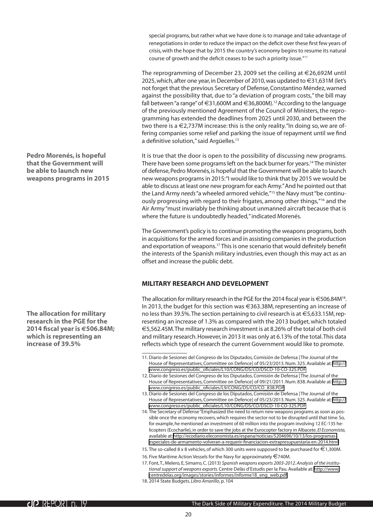<span id="page-19-0"></span>special programs, but rather what we have done is to manage and take advantage of renegotiations in order to reduce the impact on the deficit over these first few years of crisis, with the hope that by 2015 the country's economy begins to resume its natural course of growth and the deficit ceases to be such a priority issue."11

The reprogramming of December 23, 2009 set the ceiling at  $\in$  26,692M until 2025, which, after one year, in December of 2010, was updated to  $\epsilon$ 31,631M (let's not forget that the previous Secretary of Defense, Constantino Méndez, warned against the possibility that, due to "a deviation of program costs," the bill may fall between "a range" of €31,600M and €36,800M).12 According to the language of the previously mentioned Agreement of the Council of Ministers, the reprogramming has extended the deadlines from 2025 until 2030, and between the two there is a  $\epsilon$ 2,737M increase: this is the only reality. "In doing so, we are offering companies some relief and parking the issue of repayment until we find a definitive solution," said Argüelles.<sup>13</sup>

It is true that the door is open to the possibility of discussing new programs. There have been some programs left on the back burner for years.<sup>14</sup> The minister of defense, Pedro Morenés, is hopeful that the Government will be able to launch new weapons programs in 2015: "I would like to think that by 2015 we would be able to discuss at least one new program for each Army." And he pointed out that the Land Army *needs* "a wheeled armored vehicle,"15 the Navy must "be continuously progressing with regard to their frigates, among other things,"16 and the Air Army "must invariably be thinking about unmanned aircraft because that is where the future is undoubtedly headed," indicated Morenés.

The Government's policy is to continue promoting the weapons programs, both in acquisitions for the armed forces and in assisting companies in the production and exportation of weapons.<sup>17</sup> This is one scenario that would definitely benefit the interests of the Spanish military industries, even though this may act as an offset and increase the public debt.

#### **Military research and development**

The allocation for military research in the PGE for the 2014 fiscal year is  $\in$  506.84M<sup>18</sup>. In 2013, the budget for this section was €363.38M, representing an increase of no less than 39.5%. The section pertaining to civil research is at €5,633.15M, representing an increase of 1.3% as compared with the 2013 budget, which totaled €5,562.45M. The military research investment is at 8.26% of the total of both civil and military research. However, in 2013 it was only at 6.13% of the total. This data reflects which type of research the current Government would like to promote.

- 13. Diario de Sesiones del Congreso de los Diputados, Comisión de Defensa [The Journal of the House of Representatives, Committee on Defence] of 05/23/2013. Num. 325. Available at: [http://](http://www.congreso.es/public_oficiales/L10/CONG/DS/CO/DSCD-10-CO-325.PDF) [www.congreso.es/public\\_oficiales/L10/CONG/DS/CO/DSCD-10-CO-325.PDF](http://www.congreso.es/public_oficiales/L10/CONG/DS/CO/DSCD-10-CO-325.PDF)
- 14. The Secretary of Defense "Emphasized the need to return new weapons programs as soon as possible once the economy recovers, which requires the sector not to be disrupted until that time. So, for example, he mentioned an investment of 60 million into the program involving 12 EC-135 helicopters (Ecocharlie), in order to save the jobs at the Eurocopter factory in Albacete. *El Economista,*  available at: [http://ecodiario.eleconomista.es/espana/noticias/5204696/10/13/los-programas](http://ecodiario.eleconomista.es/espana/noticias/5204696/10/13/los-programas-especiales-de-armamento-volveran-a-requerir-financiacion-extrapresupuestaria-en-2014.html)[especiales-de-armamento-volveran-a-requerir-financiacion-extrapresupuestaria-en-2014.html](http://ecodiario.eleconomista.es/espana/noticias/5204696/10/13/los-programas-especiales-de-armamento-volveran-a-requerir-financiacion-extrapresupuestaria-en-2014.html)
- 15. The so-called 8 x 8 vehicles, of which 300 units were supposed to be purchased for €1,300M.
- 16. Five Maritime Action Vessels for the Navy for approximately €740M.
- 17. Font, T., Melero, E, Simarro, C. (2013) *Spanish weapons exports 2003-2012. Analysis of the institutional support of weapons exports.* Centre Delàs d'Estudis per la Pau. Available at: [http://www.](http://www.centredelas.org/images/stories/informes/informe18_eng_web.pdf) [centredelas.org/images/stories/informes/informe18\\_eng\\_web.pdf](http://www.centredelas.org/images/stories/informes/informe18_eng_web.pdf)
- 18. 2014 State Budgets*. Libro Amarillo*, p. 104

**Pedro Morenés, is hopeful that the Government will be able to launch new weapons programs in 2015**

**The allocation for military research in the PGE for the 2014 fiscal year is €506.84M; which is representing an increase of 39.5%**

<sup>11.</sup> Diario de Sesiones del Congreso de los Diputados, Comisión de Defensa [The Journal of the House of Representatives, Committee on Defence] of 05/23/2013. Num. 325. Available at: [http://](http://www.congreso.es/public_oficiales/L10/CONG/DS/CO/DSCD-10-CO-325.PDF) [www.congreso.es/public\\_oficiales/L10/CONG/DS/CO/DSCD-10-CO-325.PDF](http://www.congreso.es/public_oficiales/L10/CONG/DS/CO/DSCD-10-CO-325.PDF)

<sup>12.</sup> Diario de Sesiones del Congreso de los Diputados, Comisión de Defensa [The Journal of the House of Representatives, Committee on Defence] of 09/21/2011. Num. 838. Available at: [http://](http://www.congreso.es/public_oficiales/L9/CONG/DS/CO/CO_838.PDF) [www.congreso.es/public\\_oficiales/L9/CONG/DS/CO/CO\\_838.PDF](http://www.congreso.es/public_oficiales/L9/CONG/DS/CO/CO_838.PDF)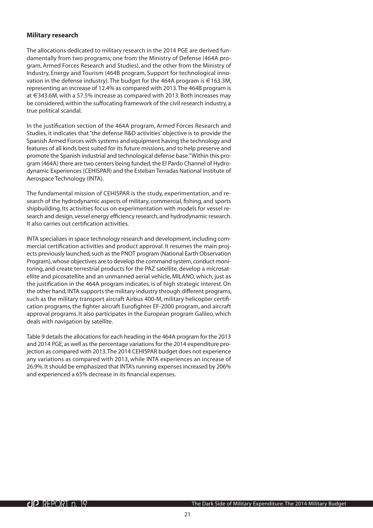#### **Military research**

The allocations dedicated to military research in the 2014 PGE are derived fundamentally from two programs; one from the Ministry of Defense (464A program, Armed Forces Research and Studies), and the other from the Ministry of Industry, Energy and Tourism (464B program, Support for technological innovation in the defense industry). The budget for the 464A program is €163.3M, representing an increase of 12.4% as compared with 2013. The 464B program is at €343.6M, with a 57.5% increase as compared with 2013. Both increases may be considered, within the suffocating framework of the civil research industry, a true political scandal.

In the justification section of the 464A program, Armed Forces Research and Studies, it indicates that "the defense R&D activities' objective is to provide the Spanish Armed Forces with systems and equipment having the technology and features of all kinds best suited for its future missions, and to help preserve and promote the Spanish industrial and technological defense base." Within this program (464A) there are two centers being funded; the El Pardo Channel of Hydrodynamic Experiences (CEHISPAR) and the Esteban Terradas National Institute of Aerospace Technology (INTA).

The fundamental mission of CEHISPAR is the study, experimentation, and research of the hydrodynamic aspects of military, commercial, fishing, and sports shipbuilding. Its activities focus on experimentation with models for vessel research and design, vessel energy efficiency research, and hydrodynamic research. It also carries out certification activities.

INTA specializes in space technology research and development, including commercial certification activities and product approval. It resumes the main projects previously launched, such as the PNOT program (National Earth Observation Program), whose objectives are to develop the command system, conduct monitoring, and create terrestrial products for the PAZ satellite, develop a microsatellite and picosatellite and an unmanned aerial vehicle, MILANO, which, just as the justification in the 464A program indicates, is of high strategic interest. On the other hand, INTA supports the military industry through different programs, such as the military transport aircraft Airbus 400-M, military helicopter certification programs, the fighter aircraft Eurofighter EF-2000 program, and aircraft approval programs. It also participates in the European program Galileo, which deals with navigation by satellite.

Table 9 details the allocations for each heading in the 464A program for the 2013 and 2014 PGE, as well as the percentage variations for the 2014 expenditure projection as compared with 2013. The 2014 CEHISPAR budget does not experience any variations as compared with 2013, while INTA experiences an increase of 26.9%. It should be emphasized that INTA's running expenses increased by 206% and experienced a 65% decrease in its financial expenses.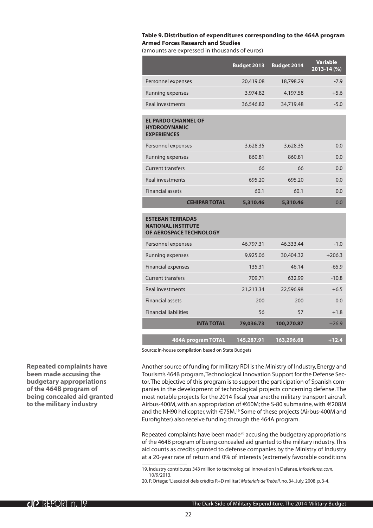#### <span id="page-21-0"></span>**Table 9. Distribution of expenditures corresponding to the 464A program Armed Forces Research and Studies**

(amounts are expressed in thousands of euros)

|                                                                                 | <b>Budget 2013</b> | <b>Budget 2014</b> | <b>Variable</b><br>2013-14 (%) |
|---------------------------------------------------------------------------------|--------------------|--------------------|--------------------------------|
| Personnel expenses                                                              | 20,419.08          | 18,798.29          | $-7.9$                         |
| Running expenses                                                                | 3,974.82           | 4,197.58           | $+5.6$                         |
| <b>Real investments</b>                                                         | 36,546.82          | 34,719.48          | $-5.0$                         |
| <b>EL PARDO CHANNEL OF</b><br><b>HYDRODYNAMIC</b><br><b>EXPERIENCES</b>         |                    |                    |                                |
| Personnel expenses                                                              | 3,628.35           | 3,628.35           | 0.0                            |
| Running expenses                                                                | 860.81             | 860.81             | 0.0                            |
| <b>Current transfers</b>                                                        | 66                 | 66                 | 0.0                            |
| <b>Real investments</b>                                                         | 695.20             | 695.20             | 0.0                            |
| <b>Financial assets</b>                                                         | 60.1               | 60.1               | 0.0                            |
| <b>CEHIPAR TOTAL</b>                                                            | 5,310.46           | 5,310.46           | 0.0                            |
| <b>ESTEBAN TERRADAS</b><br><b>NATIONAL INSTITUTE</b><br>OF AEROSPACE TECHNOLOGY |                    |                    |                                |
| Personnel expenses                                                              | 46,797.31          | 46,333.44          | $-1.0$                         |
| Running expenses                                                                | 9,925.06           | 30,404.32          | $+206.3$                       |
| <b>Financial expenses</b>                                                       | 135.31             | 46.14              | $-65.9$                        |
| <b>Current transfers</b>                                                        | 709.71             | 632.99             | $-10.8$                        |
| <b>Real investments</b>                                                         | 21,213.34          | 22,596.98          | $+6.5$                         |
| <b>Financial assets</b>                                                         | 200                | 200                | 0.0                            |
| <b>Financial liabilities</b>                                                    | 56                 | 57                 | $+1.8$                         |
| <b>INTA TOTAL</b>                                                               | 79,036.73          | 100,270.87         | $+26.9$                        |
| <b>464A program TOTAL</b>                                                       | 145,287.91         | 163,296.68         | $+12.4$                        |

Source: In-house compilation based on State Budgets

Another source of funding for military RDI is the Ministry of Industry, Energy and Tourism's 464B program, Technological Innovation Support for the Defense Sector. The objective of this program is to support the participation of Spanish companies in the development of technological projects concerning defense. The most notable projects for the 2014 fiscal year are: the military transport aircraft Airbus-400M, with an appropriation of €60M; the S-80 submarine, with €208M and the NH90 helicopter, with €75M.<sup>19</sup> Some of these projects (Airbus-400M and Eurofighter) also receive funding through the 464A program.

Repeated complaints have been made<sup>20</sup> accusing the budgetary appropriations of the 464B program of being concealed aid granted to the military industry. This aid counts as credits granted to defense companies by the Ministry of Industry at a 20-year rate of return and 0% of interests (extremely favorable conditions

**Repeated complaints have been made accusing the budgetary appropriations of the 464B program of being concealed aid granted to the military industry**

<sup>19.</sup> Industry contributes 343 million to technological innovation in Defense, *Infodefensa.com,*  10/9/2013.

<sup>20.</sup> P. Ortega; "L'escàdol dels crèdits R+D militar". *Materials de Treball*, no. 34, July, 2008, p. 3-4.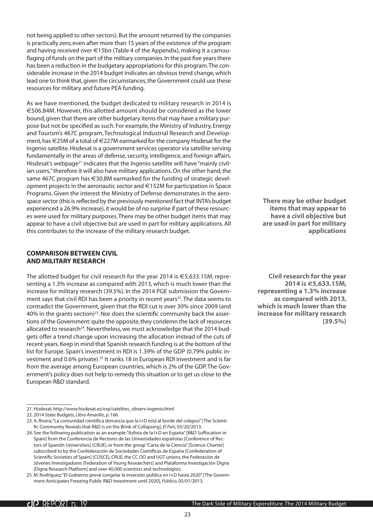<span id="page-22-0"></span>not being applied to other sectors). But the amount returned by the companies is practically zero, even after more than 15 years of the existence of the program and having received over €15bn (Table 4 of the Appendix), making it a camouflaging of funds on the part of the military companies. In the past five years there has been a reduction in the budgetary appropriations for this program. The considerable increase in the 2014 budget indicates an obvious trend change, which lead one to think that, given the circumstances, the Government could use these resources for military and future PEA funding.

As we have mentioned, the budget dedicated to military research in 2014 is €506.84M. However, this allotted amount should be considered as the lower bound, given that there are other budgetary items that may have a military purpose but not be specified as such. For example, the Ministry of Industry, Energy and Tourism's 467C program, Technological Industrial Research and Development, has €25M of a total of €227M earmarked for the company Hisdesat for the Ingenio satellite. Hisdesat is a government services operator via satellite serving fundamentally in the areas of defense, security, intelligence, and foreign affairs. Hisdesat's webpage<sup>21</sup> indicates that the Ingenio satellite will have "mainly civilian users," therefore it will also have military applications. On the other hand, the same 467C program has €30.8M earmarked for the funding of strategic development projects in the aeronautic sector and €152M for participation in Space Programs. Given the interest the Ministry of Defense demonstrates in the aerospace sector (this is reflected by the previously mentioned fact that INTA's budget experienced a 26.9% increase), it would be of no surprise if part of these resources were used for military purposes. There may be other budget items that may appear to have a civil objective but are used in part for military applications. All this contributes to the increase of the military research budget.

#### **Comparison between civil and military research**

The allotted budget for civil research for the year 2014 is  $\epsilon$ 5,633.15M, representing a 1.3% increase as compared with 2013, which is much lower than the increase for military research (39.5%). In the 2014 PGE submission the Government says that civil RDI has been a priority in recent years<sup>22</sup>. The data seems to contradict the Government, given that the RDI cut is over 30% since 2009 (and 40% in the grants section)23. Nor does the scientific community back the assertions of the Government: quite the opposite, they condemn the lack of resources allocated to research<sup>24</sup>. Nevertheless, we must acknowledge that the 2014 budgets offer a trend change upon increasing the allocation instead of the cuts of recent years. Keep in mind that Spanish research funding is at the bottom of the list for Europe. Spain's investment in RDI is 1.39% of the GDP (0.79% public investment and 0.6% private).25 It ranks 18 in European RDI investment and is far from the average among European countries, which is 2% of the GDP. The Government's policy does not help to remedy this situation or to get us close to the European R&D standard.

**There may be other budget items that may appear to have a civil objective but are used in part for military applications**

**Civil research for the year 2014 is €5,633.15M, representing a 1.3% increase as compared with 2013, which is much lower than the increase for military research (39.5%)**

<sup>21.</sup> Hisdesat. http://www.hisdesat.es/esp/satelites\_observ-ingenio.html

<sup>22.</sup> 2014 State Budgets, *Libro Amarillo*, p. 166

<sup>23.</sup> A. Rivera; "La comunidad científica denuncia que la I+D está al borde del colapso" [The Scientific Community Reveals that R&D is on the Brink of Collapsing], *El País*, 05/20/2013.

<sup>24.</sup> See the following publication as an example: "Asfixia de la I+D en España" [R&D Suffocation in Spain] from the Conferencia de Rectores de las Universidades españolas [Conference of Rectors of Spanish Universities] (CRUE), or from the group "Carta de la Ciencia" [Science Charter] subscribed to by the Confederación de Sociedades Científicas de España [Confederation of Scientific Societies of Spain] (COSCE), CRUE, the CC OO and UGT unions, the Federación de Jóvenes Investigadores [Federation of Young Researchers] and Plataforma Investigación Digna [Digna Research Platform] and over 40,000 scientists and technologists.

<sup>25.</sup> M. Rodríguez; "El Gobierno prevé congelar la inversión pública en I+D hasta 2020" [The Government Anticipates Freezing Public R&D Investment until 2020], *Público*, 05/01/2013.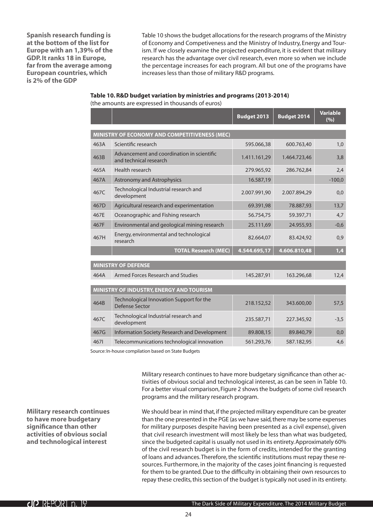<span id="page-23-0"></span>**Spanish research funding is at the bottom of the list for Europe with an 1,39% of the GDP. It ranks 18 in Europe, far from the average among European countries, which is 2% of the GDP**

Table 10 shows the budget allocations for the research programs of the Ministry of Economy and Competiveness and the Ministry of Industry, Energy and Tourism. If we closely examine the projected expenditure, it is evident that military research has the advantage over civil research, even more so when we include the percentage increases for each program. All but one of the programs have increases less than those of military R&D programs.

#### **Table 10.R&D budget variation by ministries and programs (2013-2014)**

(the amounts are expressed in thousands of euros)

|      |                                                                      | <b>Budget 2013</b> | <b>Budget 2014</b> | <b>Variable</b><br>(%) |
|------|----------------------------------------------------------------------|--------------------|--------------------|------------------------|
|      |                                                                      |                    |                    |                        |
|      | MINISTRY OF ECONOMY AND COMPETITIVENESS (MEC)                        |                    |                    |                        |
| 463A | Scientific research                                                  | 595.066,38         | 600.763,40         | 1,0                    |
| 463B | Advancement and coordination in scientific<br>and technical research | 1.411.161,29       | 1.464.723,46       | 3,8                    |
| 465A | Health research                                                      | 279.965,92         | 286.762,84         | 2,4                    |
| 467A | <b>Astronomy and Astrophysics</b>                                    | 16.587,19          |                    | $-100,0$               |
| 467C | Technological Industrial research and<br>development                 | 2.007.991,90       | 2.007.894,29       | 0,0                    |
| 467D | Agricultural research and experimentation                            | 69.391,98          | 78.887,93          | 13,7                   |
| 467E | Oceanographic and Fishing research                                   | 56.754,75          | 59.397,71          | 4,7                    |
| 467F | Environmental and geological mining research                         | 25.111,69          | 24.955,93          | $-0,6$                 |
| 467H | Energy, environmental and technological<br>research                  | 82.664,07          | 83.424,92          | 0,9                    |
|      | <b>TOTAL Research (MEC)</b>                                          | 4.544.695,17       | 4.606.810,48       | 1,4                    |
|      |                                                                      |                    |                    |                        |
|      | <b>MINISTRY OF DEFENSE</b>                                           |                    |                    |                        |
| 464A | Armed Forces Research and Studies                                    | 145.287,91         | 163.296,68         | 12,4                   |

| 464A | Armed Forces Research and Studies                          | 145.287,91 | 163.296,68 | 12,4   |
|------|------------------------------------------------------------|------------|------------|--------|
|      |                                                            |            |            |        |
|      | <b>MINISTRY OF INDUSTRY, ENERGY AND TOURISM</b>            |            |            |        |
| 464B | Technological Innovation Support for the<br>Defense Sector | 218.152,52 | 343.600,00 | 57.5   |
| 467C | Technological Industrial research and<br>development       | 235.587,71 | 227.345,92 | $-3.5$ |
| 467G | Information Society Research and Development               | 89.808,15  | 89.840,79  | 0,0    |
| 4671 | Telecommunications technological innovation                | 561.293,76 | 587.182,95 | 4,6    |

Source: In-house compilation based on State Budgets

Military research continues to have more budgetary significance than other activities of obvious social and technological interest, as can be seen in Table 10. For a better visual comparison, Figure 2 shows the budgets of some civil research programs and the military research program.

**Military research continues to have more budgetary significance than other activities of obvious social and technological interest**

We should bear in mind that, if the projected military expenditure can be greater than the one presented in the PGE (as we have said, there may be some expenses for military purposes despite having been presented as a civil expense), given that civil research investment will most likely be less than what was budgeted, since the budgeted capital is usually not used in its entirety. Approximately 60% of the civil research budget is in the form of credits, intended for the granting of loans and advances. Therefore, the scientific institutions must repay these resources. Furthermore, in the majority of the cases joint financing is requested for them to be granted. Due to the difficulty in obtaining their own resources to repay these credits, this section of the budget is typically not used in its entirety.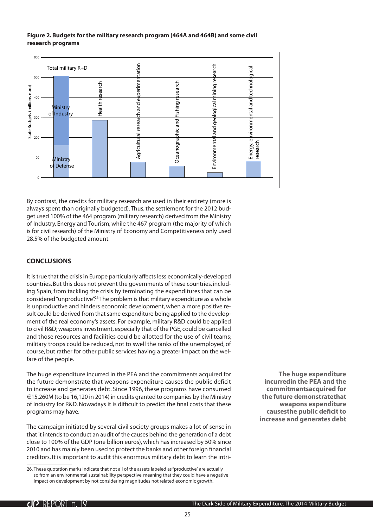#### <span id="page-24-0"></span>**Figure 2. Budgets for the military research program (464A and 464B) and some civil research programs**



By contrast, the credits for military research are used in their entirety (more is always spent than originally budgeted). Thus, the settlement for the 2012 budget used 100% of the 464 program (military research) derived from the Ministry of Industry, Energy and Tourism, while the 467 program (the majority of which is for civil research) of the Ministry of Economy and Competitiveness only used 28.5% of the budgeted amount.

#### **Conclusions**

It is true that the crisis in Europe particularly affects less economically-developed countries. But this does not prevent the governments of these countries, including Spain, from tackling the crisis by terminating the expenditures that can be considered "unproductive".<sup>26</sup> The problem is that military expenditure as a whole is unproductive and hinders economic development, when a more positive result could be derived from that same expenditure being applied to the development of the real economy's assets. For example, military R&D could be applied to civil R&D; weapons investment, especially that of the PGE, could be cancelled and those resources and facilities could be allotted for the use of civil teams; military troops could be reduced, not to swell the ranks of the unemployed, of course, but rather for other public services having a greater impact on the welfare of the people.

The huge expenditure incurred in the PEA and the commitments acquired for the future demonstrate that weapons expenditure causes the public deficit to increase and generates debt. Since 1996, these programs have consumed €15,260M (to be 16,120 in 2014) in credits granted to companies by the Ministry of Industry for R&D. Nowadays it is difficult to predict the final costs that these programs may have.

The campaign initiated by several civil society groups makes a lot of sense in that it intends to conduct an audit of the causes behind the generation of a debt close to 100% of the GDP (one billion euros), which has increased by 50% since 2010 and has mainly been used to protect the banks and other foreign financial creditors. It is important to audit this enormous military debt to learn the intri-

**The huge expenditure incurredin the PEA and the commitmentsacquired for the future demonstratethat weapons expenditure causesthe public deficit to increase and generates debt**

<sup>26.</sup> These quotation marks indicate that not all of the assets labeled as "productive" are actually so from an environmental sustainability perspective, meaning that they could have a negative impact on development by not considering magnitudes not related economic growth.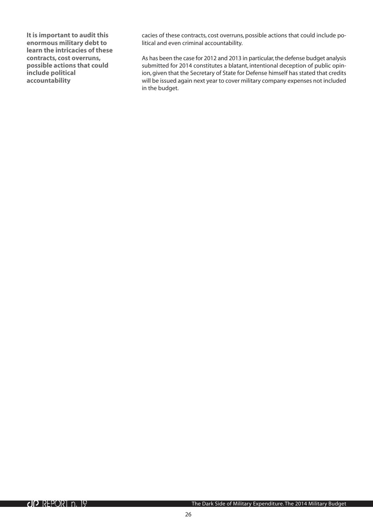**It is important to audit this enormous military debt to learn the intricacies of these contracts, cost overruns, possible actions that could include political accountability**

cacies of these contracts, cost overruns, possible actions that could include political and even criminal accountability.

As has been the case for 2012 and 2013 in particular, the defense budget analysis submitted for 2014 constitutes a blatant, intentional deception of public opinion, given that the Secretary of State for Defense himself has stated that credits will be issued again next year to cover military company expenses not included in the budget.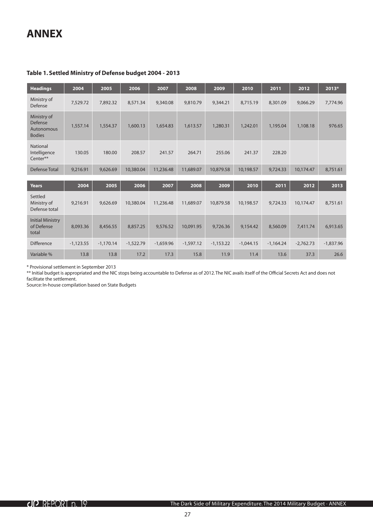### <span id="page-26-0"></span>**ANNEX**

#### **Table 1. Settled Ministry of Defense budget 2004 - 2013**

| <b>Headings</b>                                       | 2004        | 2005        | 2006        | 2007        | 2008        | 2009        | 2010        | 2011        | 2012        | 2013*       |
|-------------------------------------------------------|-------------|-------------|-------------|-------------|-------------|-------------|-------------|-------------|-------------|-------------|
| Ministry of<br>Defense                                | 7,529.72    | 7,892.32    | 8,571.34    | 9,340.08    | 9,810.79    | 9,344.21    | 8,715.19    | 8,301.09    | 9,066.29    | 7,774.96    |
| Ministry of<br>Defense<br>Autonomous<br><b>Bodies</b> | 1,557.14    | 1,554.37    | 1,600.13    | 1,654.83    | 1,613.57    | 1,280.31    | 1,242.01    | 1,195.04    | 1,108.18    | 976.65      |
| <b>National</b><br>Intelligence<br>Center**           | 130.05      | 180.00      | 208.57      | 241.57      | 264.71      | 255.06      | 241.37      | 228.20      |             |             |
| Defense Total                                         | 9,216.91    | 9,626.69    | 10,380.04   | 11,236.48   | 11,689.07   | 10,879.58   | 10,198.57   | 9,724.33    | 10,174.47   | 8,751.61    |
| <b>Years</b>                                          | 2004        | 2005        | 2006        | 2007        | 2008        | 2009        | 2010        | 2011        | 2012        | 2013        |
| Settled<br>Ministry of<br>Defense total               | 9,216.91    | 9,626.69    | 10,380.04   | 11,236.48   | 11,689.07   | 10,879.58   | 10,198.57   | 9,724.33    | 10,174.47   | 8,751.61    |
| <b>Initial Ministry</b><br>of Defense<br>total        | 8,093.36    | 8,456.55    | 8,857.25    | 9,576.52    | 10,091.95   | 9,726.36    | 9,154.42    | 8,560.09    | 7.411.74    | 6,913.65    |
| <b>Difference</b>                                     | $-1,123.55$ | $-1,170.14$ | $-1,522.79$ | $-1,659.96$ | $-1,597.12$ | $-1,153.22$ | $-1,044.15$ | $-1,164.24$ | $-2,762.73$ | $-1,837.96$ |
| Variable %                                            | 13.8        | 13.8        | 17.2        | 17.3        | 15.8        | 11.9        | 11.4        | 13.6        | 37.3        | 26.6        |

\* Provisional settlement in September 2013

\*\* Initial budget is appropriated and the NIC stops being accountable to Defense as of 2012. The NIC avails itself of the Official Secrets Act and does not facilitate the settlement.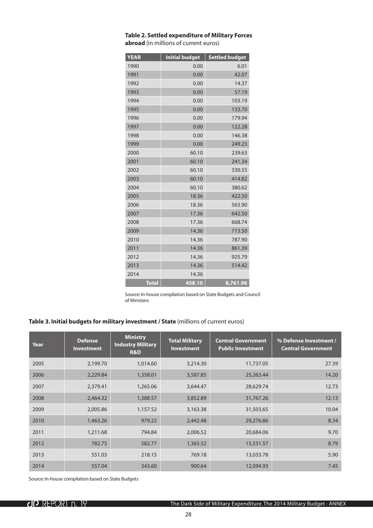| <b>YEAR</b>  | <b>Initial budget</b> | <b>Settled budget</b> |
|--------------|-----------------------|-----------------------|
| 1990         | 0.00                  | 6.01                  |
| 1991         | 0.00                  | 42.07                 |
| 1992         | 0.00                  | 14.37                 |
| 1993         | 0.00                  | 57.19                 |
| 1994         | 0.00                  | 103.19                |
| 1995         | 0.00                  | 133.70                |
| 1996         | 0.00                  | 179.94                |
| 1997         | 0.00                  | 122.28                |
| 1998         | 0.00                  | 146.38                |
| 1999         | 0.00                  | 249.23                |
| 2000         | 60.10                 | 239.63                |
| 2001         | 60.10                 | 241.34                |
| 2002         | 60.10                 | 330.55                |
| 2003         | 60.10                 | 414.82                |
| 2004         | 60.10                 | 380.62                |
| 2005         | 18.36                 | 422.50                |
| 2006         | 18.36                 | 563.90                |
| 2007         | 17.36                 | 642.50                |
| 2008         | 17.36                 | 668.74                |
| 2009         | 14.36                 | 713.50                |
| 2010         | 14.36                 | 787.90                |
| 2011         | 14.36                 | 861.39                |
| 2012         | 14.36                 | 925.79                |
| 2013         | 14.36                 | 514.42                |
| 2014         | 14.36                 |                       |
| <b>Total</b> | 458.10                | 8,761.96              |

#### <span id="page-27-0"></span>**Table 2. Settled expenditure of Military Forces abroad** (in millions of current euros)

Source: In-house compilation based on State Budgets and Council of Ministers

#### **Table 3. Initial budgets for military investment / State** (millions of current euros)

| Year | <b>Defense</b><br><b>Investment</b> | <b>Ministry</b><br><b>Industry Military</b><br><b>R&amp;D</b> | <b>Total Military</b><br><b>Investment</b> | <b>Central Government</b><br><b>Public Investment</b> | % Defense Investment /<br><b>Central Government</b> |
|------|-------------------------------------|---------------------------------------------------------------|--------------------------------------------|-------------------------------------------------------|-----------------------------------------------------|
| 2005 | 2,199.70                            | 1,014.60                                                      | 3,214.30                                   | 11,737.05                                             | 27.39                                               |
| 2006 | 2,229.84                            | 1,358.01                                                      | 3,587.85                                   | 25,263.44                                             | 14.20                                               |
| 2007 | 2,379.41                            | 1,265.06                                                      | 3,644.47                                   | 28,629.74                                             | 12.73                                               |
| 2008 | 2,464.32                            | 1,388.57                                                      | 3,852.89                                   | 31,767.26                                             | 12.13                                               |
| 2009 | 2,005.86                            | 1,157.52                                                      | 3,163.38                                   | 31,503.65                                             | 10.04                                               |
| 2010 | 1,463.26                            | 979.22                                                        | 2,442.48                                   | 29,276.86                                             | 8.34                                                |
| 2011 | 1,211.68                            | 794.84                                                        | 2,006.52                                   | 20,684.06                                             | 9.70                                                |
| 2012 | 782.75                              | 582.77                                                        | 1,365.52                                   | 15,531.57                                             | 8.79                                                |
| 2013 | 551.03                              | 218.15                                                        | 769.18                                     | 13,033.78                                             | 5.90                                                |
| 2014 | 557.04                              | 343.60                                                        | 900.64                                     | 12,094.93                                             | 7.45                                                |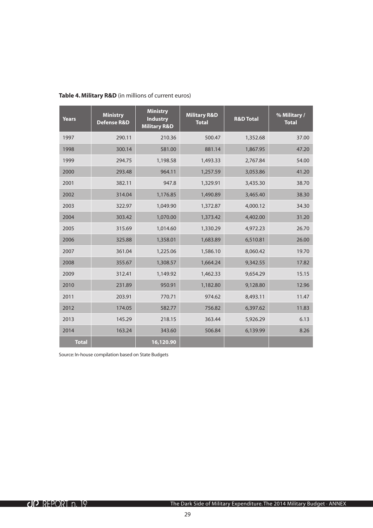| <b>Years</b> | <b>Ministry</b><br><b>Defense R&amp;D</b> | <b>Ministry</b><br><b>Industry</b><br><b>Military R&amp;D</b> | <b>Military R&amp;D</b><br><b>Total</b> | <b>R&amp;D Total</b> | % Military /<br><b>Total</b> |
|--------------|-------------------------------------------|---------------------------------------------------------------|-----------------------------------------|----------------------|------------------------------|
| 1997         | 290.11                                    | 210.36                                                        | 500.47                                  | 1,352.68             | 37.00                        |
| 1998         | 300.14                                    | 581.00                                                        | 881.14                                  | 1,867.95             | 47.20                        |
| 1999         | 294.75                                    | 1,198.58                                                      | 1,493.33                                | 2,767.84             | 54.00                        |
| 2000         | 293.48                                    | 964.11                                                        | 1,257.59                                | 3,053.86             | 41.20                        |
| 2001         | 382.11                                    | 947.8                                                         | 1,329.91                                | 3,435.30             | 38.70                        |
| 2002         | 314.04                                    | 1,176.85                                                      | 1,490.89                                | 3,465.40             | 38.30                        |
| 2003         | 322.97                                    | 1,049.90                                                      | 1,372.87                                | 4,000.12             | 34.30                        |
| 2004         | 303.42                                    | 1,070.00                                                      | 1,373.42                                | 4,402.00             | 31.20                        |
| 2005         | 315.69                                    | 1,014.60                                                      | 1,330.29                                | 4,972.23             | 26.70                        |
| 2006         | 325.88                                    | 1,358.01                                                      | 1,683.89                                | 6,510.81             | 26.00                        |
| 2007         | 361.04                                    | 1,225.06                                                      | 1,586.10                                | 8,060.42             | 19.70                        |
| 2008         | 355.67                                    | 1,308.57                                                      | 1,664.24                                | 9,342.55             | 17.82                        |
| 2009         | 312.41                                    | 1,149.92                                                      | 1,462.33                                | 9,654.29             | 15.15                        |
| 2010         | 231.89                                    | 950.91                                                        | 1,182.80                                | 9,128.80             | 12.96                        |
| 2011         | 203.91                                    | 770.71                                                        | 974.62                                  | 8,493.11             | 11.47                        |
| 2012         | 174.05                                    | 582.77                                                        | 756.82                                  | 6,397.62             | 11.83                        |
| 2013         | 145.29                                    | 218.15                                                        | 363.44                                  | 5,926.29             | 6.13                         |
| 2014         | 163.24                                    | 343.60                                                        | 506.84                                  | 6,139.99             | 8.26                         |
| <b>Total</b> |                                           | 16,120.90                                                     |                                         |                      |                              |

#### <span id="page-28-0"></span>**Table 4. Military R&D** (in millions of current euros)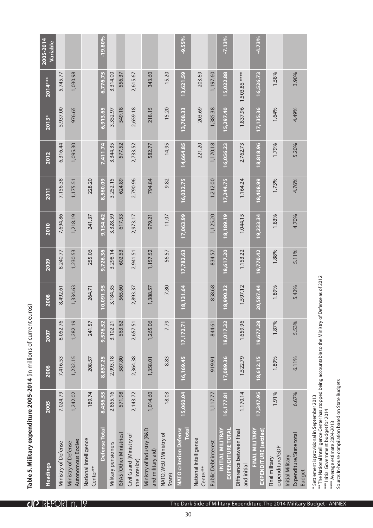| יים בין בוומטון סוויב.<br>$\frac{1}{2}$ |
|-----------------------------------------|
| $\frac{1}{2}$                           |
|                                         |
| $200F$ 2014<br>$\frac{1}{2}$            |
|                                         |
|                                         |
|                                         |
|                                         |
|                                         |
|                                         |

<span id="page-29-0"></span>

|                                                                            | 1,503.85 ****<br>15,022.88<br>13,621.59                                                                                                                                                                                                                                                                                                                     |
|----------------------------------------------------------------------------|-------------------------------------------------------------------------------------------------------------------------------------------------------------------------------------------------------------------------------------------------------------------------------------------------------------------------------------------------------------|
|                                                                            | 1,837.96<br>549.18<br>2,659.18<br>6,913.65<br>218.15<br>203.69<br>1,385.38<br>15.20<br>15,297.40<br>3,352.97<br>13,708.33                                                                                                                                                                                                                                   |
| 3,344.35<br>7,411.74<br>577.52<br>2,733.52<br>582.77                       | 221.20<br>14.95<br>1,170.18<br>14,664.85<br>2,762.73<br>16,056.23<br>9.82                                                                                                                                                                                                                                                                                   |
| 3,252.15<br>624.89<br>2,790.96<br>8,560.09<br>794.84                       | 1,212.00<br>16,032.75<br>17,244.75<br>1,164.24<br>11.07                                                                                                                                                                                                                                                                                                     |
| 3,328.59<br>9,154.42<br>617.53<br>2,973.17<br>979.21                       | 1,125.20<br>1,044.15<br>17,063.99<br>18,189.19<br>56.57                                                                                                                                                                                                                                                                                                     |
| 255.06<br>9,726.36<br>3,298.14<br>602.53<br>1,157.52<br>2,941.51<br>264.71 | 834.57<br>17,782.63<br>18,617.20<br>1,153.22<br>7.80                                                                                                                                                                                                                                                                                                        |
| 0,091.95<br>3,184.35<br>565.60<br>2,893.37<br>1,388.57                     | 18,131.64<br>858.68<br>18,990.32<br>1,597.12<br>7.79                                                                                                                                                                                                                                                                                                        |
| 1,265.06<br>9,576.52<br>563.62<br>3,102.21<br>2,657.51                     | 1,659.96<br>18,017.32<br>844.61<br>17,172.71<br>8.83                                                                                                                                                                                                                                                                                                        |
| 8,857.25<br>2,993.18<br>587.80<br>2,364.38<br>1,358.01                     | 16,169.45<br>17,089.36<br>1,522.79<br>919.91                                                                                                                                                                                                                                                                                                                |
| 2,855.16<br>8,456.55<br>571.98<br>2,143.72<br>1,014.60                     | 1,170.14<br>15,060.04<br>18.03<br>1,117.77<br>16, 177.81                                                                                                                                                                                                                                                                                                    |
| Defense Total                                                              | <b>NATO criterion Defense</b><br>Ministry of Industry (R&D<br>Total<br><b>EXPENDITURE TOTAL</b><br>INITIAL MILITRAY<br>Difference between final<br>NATO, WEU (Ministry of<br>ISFAS (Other Ministries)<br>Civil Guard (Ministry of<br>National Intelligence<br>Public Debt interest<br>Military pensioners<br>and military aid)<br>the Interior)<br>Center** |

\* Settlement is provisional in September 2013

 $^{**}$ The National Intelligence Center has stopped being accountable to the Ministry of Defense as of 2012  $\,$ \* Settlement is provisional in September 2013<br>\*\* The National Intelligence Center has stopped being accountable to the Ministry of Defense as of 2012<br>\*\*\* Initial Government budget for 2014<br>\*\*\*\* Average estimate 2004-2013<br>S

\*\*\* Initial Government budget for 2014

Average estimate 2004-2013 Source: In-house compilation based on State Budgets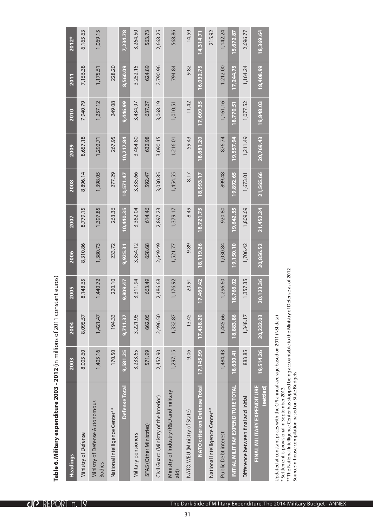<span id="page-30-0"></span>

| Headings                                                                                                                                                                                                                                                                          | 2003       | 2004      | 2005               | 2006      | <b>2007</b> | 2008      | 2009      | 2010      | 2011      | 2012*     |
|-----------------------------------------------------------------------------------------------------------------------------------------------------------------------------------------------------------------------------------------------------------------------------------|------------|-----------|--------------------|-----------|-------------|-----------|-----------|-----------|-----------|-----------|
| Ministry of Defense                                                                                                                                                                                                                                                               | 8,005.60   | 8,095.57  | 8,148.65           | 8,310.86  | 8,779.15    | 8,896.14  | 8,657.18  | 7,940.79  | 7,156.38  | 6,165.63  |
| Ministry of Defense Autonomous<br><b>Bodies</b>                                                                                                                                                                                                                                   | 1,405.16   | 1,421.47  | 1,440.72           | 1,380.73  | 1,397.85    | 1,398.05  | 1,292.71  | 1,257.12  | 1,175.51  | 1,069.15  |
| National Intelligence Center**                                                                                                                                                                                                                                                    | 170.50     | 194.33    | 220.10             | 233.72    | 263.36      | 277.29    | 267.95    | 249.08    | 228.20    |           |
| Defense<br>Total                                                                                                                                                                                                                                                                  | 9,581.25   | 9,711.37  | 9,809.47           | 9,925.31  | 10,440.35   | 10,571.47 | 10,217.84 | 9,446.99  | 8,560.09  | 7,234.78  |
| Military pensioners                                                                                                                                                                                                                                                               | 3,233.65   | 3,221.95  | 3,311.94           | 3,354.12  | 3,382.04    | 3,335.66  | 3,464.80  | 3,434.97  | 3,252.15  | 3,264.50  |
| ISFAS (Other Ministries)                                                                                                                                                                                                                                                          | 571.99     | 662.05    | 663.49             | 658.68    | 614.46      | 592.47    | 632.98    | 637.27    | 624.89    | 563.73    |
| Civil Guard (Ministry of the Interior)                                                                                                                                                                                                                                            | 2,452.90   | 2,496.50  | 2,486.68           | 2,649.49  | 2,897.23    | 3,030.85  | 3,090.15  | 3,068.19  | 2,790.96  | 2,668.25  |
| Ministry of Industry (R&D and military<br>aid)                                                                                                                                                                                                                                    | 1,297.15   | 1,332.87  | 1,176.92           | 1,521.77  | 1,379.17    | 1,454.55  | 1,216.01  | 1,010.51  | 794.84    | 568.86    |
| NATO, WEU (Ministry of State)                                                                                                                                                                                                                                                     | 9.06       | 13.45     | 20.91              | 9.89      | 8.49        | 8.17      | 59.43     | 11.42     | 9.82      | 14.59     |
| <b>NATO criterion Defense Total</b>                                                                                                                                                                                                                                               | 17, 145.99 | 17,438.20 | 17,469.42          | 18,119.26 | 18,721.75   | 18,993.17 | 18,681.20 | 17,609.35 | 16,032.75 | 14,314.71 |
| National Intelligence Center**                                                                                                                                                                                                                                                    |            |           |                    |           |             |           |           |           |           | 215.92    |
| Public Debt interest                                                                                                                                                                                                                                                              | 1,484.43   | 1,445.66  | 1,296.60           | 1,030.84  | 920.80      | 899.48    | 876.74    | 1,161.16  | 1,212.00  | 1, 142.24 |
| <b>INITIAL MILITRAY EXPENDITURE TOTAL</b>                                                                                                                                                                                                                                         | 18,630.41  | 18,883.86 | 18,766.02          | 19,150.10 | 19,642.55   | 19,892.65 | 19,557.94 | 18,770.51 | 17,244.75 | 15,672.87 |
| Difference between final and initial                                                                                                                                                                                                                                              | 883.85     | 1,348.17  | 1,357.35           | 1,706.42  | 1,809.69    | 1,673.01  | 1,211.49  | 1,077.52  | 1,164.24  | 2,696.77  |
| FINAL MILITARY EXPENDITURE<br>(settled)                                                                                                                                                                                                                                           | 19,514.26  | 20,232.03 | 20,123.36          | 20,856.52 | 21,452.24   | 21,565.66 | 20,769.43 | 19,848.03 | 18,408.99 | 18,369.64 |
| ** The National Intelligence Center has stopped being accountable to the Ministry of I<br>Updated at constant prices with the CPI annual average based on 2011 (NSI data)<br>Source: In-house compilation based on State Budgets<br>* Settlement is provisional in September 2013 |            |           | Defense as of 2012 |           |             |           |           |           |           |           |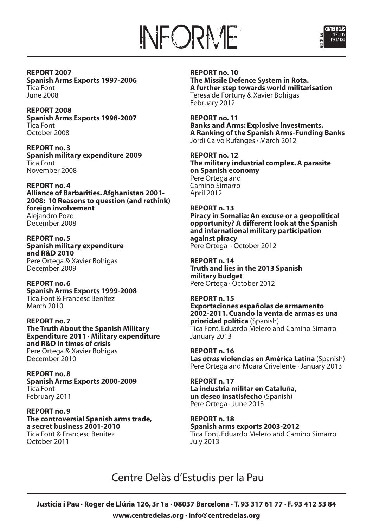



**REPORT 2007 Spanish Arms Exports 1997-2006** Tica Font June 2008

**REPORT 2008 Spanish Arms Exports 1998-2007** Tica Font October 2008

**REPORT no. 3 Spanish military expenditure 2009** Tica Font November 2008

**REPORT no. 4 Alliance of Barbarities.Afghanistan 2001- 2008: 10 Reasons to question (and rethink) foreign involvement** Alejandro Pozo December 2008

**REPORT no. 5 Spanish military expenditure and R&D 2010** Pere Ortega & Xavier Bohigas December 2009

**REPORT no. 6 Spanish Arms Exports 1999-2008** Tica Font & Francesc Benítez March 2010

**REPORT no. 7 The Truth About the Spanish Military Expenditure 2011 · Military expenditure and R&D in times of crisis** Pere Ortega & Xavier Bohigas December 2010

**REPORT no. 8 Spanish Arms Exports 2000-2009** Tica Font February 2011

**REPORT no. 9 The controversial Spanish arms trade, a secret business 2001-2010** Tica Font & Francesc Benítez October 2011

**REPORT no. 10 The Missile Defence System in Rota. A further step towards world militarisation** Teresa de Fortuny & Xavier Bohigas February 2012

**REPORT no. 11 Banks and Arms: Explosive investments. A Ranking of the Spanish Arms-Funding Banks** Jordi Calvo Rufanges · March 2012

**REPORT no. 12 The military industrial complex.A parasite on Spanish economy** Pere Ortega and Camino Simarro April 2012

**REPORT n. 13 Piracy in Somalia: An excuse or a geopolitical opportunity? A different look at the Spanish and international military participation against piracy** Pere Ortega · October 2012

**REPORT n. 14 Truth and lies in the 2013 Spanish military budget** Pere Ortega · October 2012

**REPORT n. 15 Exportaciones españolas de armamento 2002-2011. Cuando la venta de armas es una prioridad política** (Spanish) Tica Font, Eduardo Melero and Camino Simarro January 2013

**REPORT n. 16 Las** *otras* **violencias en América Latina** (Spanish) Pere Ortega and Moara Crivelente · January 2013

**REPORT n. 17 La industria militar en Cataluña, un deseo insatisfecho** (Spanish) Pere Ortega · June 2013

**REPORT n. 18 Spanish arms exports 2003-2012** Tica Font, Eduardo Melero and Camino Simarro July 2013

Centre Delàs d'Estudis per la Pau